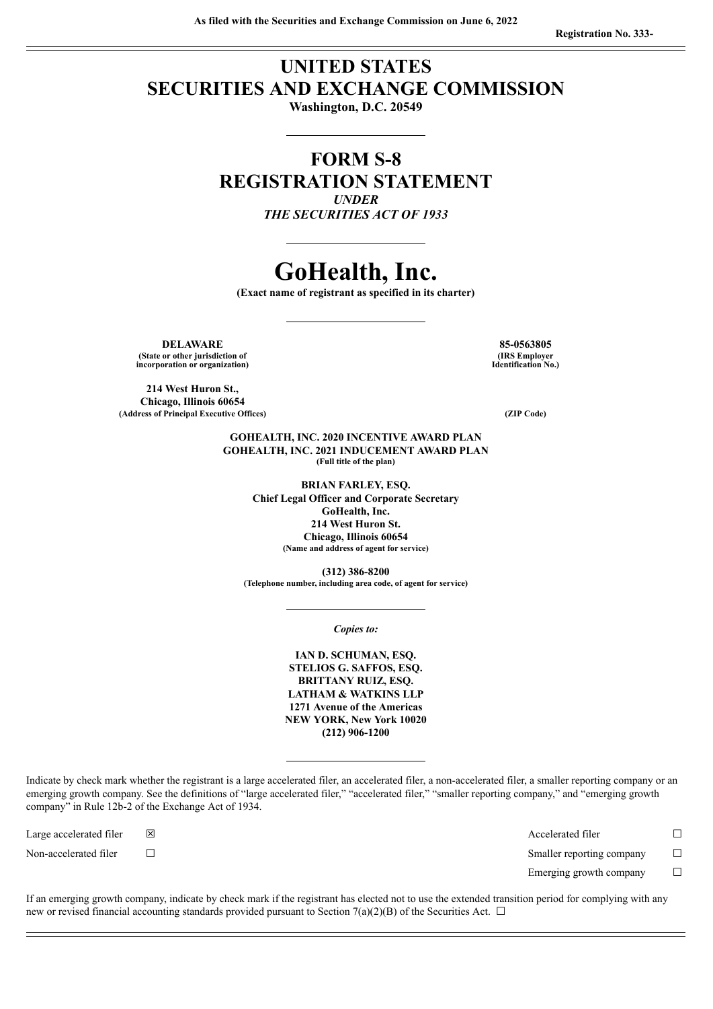# **UNITED STATES SECURITIES AND EXCHANGE COMMISSION**

**Washington, D.C. 20549**

# **FORM S-8 REGISTRATION STATEMENT** *UNDER*

*THE SECURITIES ACT OF 1933*

# **GoHealth, Inc.**

**(Exact name of registrant as specified in its charter)**

**DELAWARE 85-0563805 (State or other jurisdiction of incorporation or organization)**

**214 West Huron St., Chicago, Illinois 60654 (Address of Principal Executive Offices) (ZIP Code)**

**(IRS Employer Identification No.)**

**GOHEALTH, INC. 2020 INCENTIVE AWARD PLAN GOHEALTH, INC. 2021 INDUCEMENT AWARD PLAN (Full title of the plan)**

> **BRIAN FARLEY, ESQ. Chief Legal Officer and Corporate Secretary GoHealth, Inc. 214 West Huron St. Chicago, Illinois 60654 (Name and address of agent for service)**

**(312) 386-8200 (Telephone number, including area code, of agent for service)**

*Copies to:*

**IAN D. SCHUMAN, ESQ. STELIOS G. SAFFOS, ESQ. BRITTANY RUIZ, ESQ. LATHAM & WATKINS LLP 1271 Avenue of the Americas NEW YORK, New York 10020 (212) 906-1200**

Indicate by check mark whether the registrant is a large accelerated filer, an accelerated filer, a non-accelerated filer, a smaller reporting company or an emerging growth company. See the definitions of "large accelerated filer," "accelerated filer," "smaller reporting company," and "emerging growth company" in Rule 12b-2 of the Exchange Act of 1934.

Large accelerated filer ☒ Accelerated filer ☐ Non-accelerated filer ☐ Smaller reporting company ☐ Emerging growth company  $\Box$ 

If an emerging growth company, indicate by check mark if the registrant has elected not to use the extended transition period for complying with any new or revised financial accounting standards provided pursuant to Section 7(a)(2)(B) of the Securities Act.  $\Box$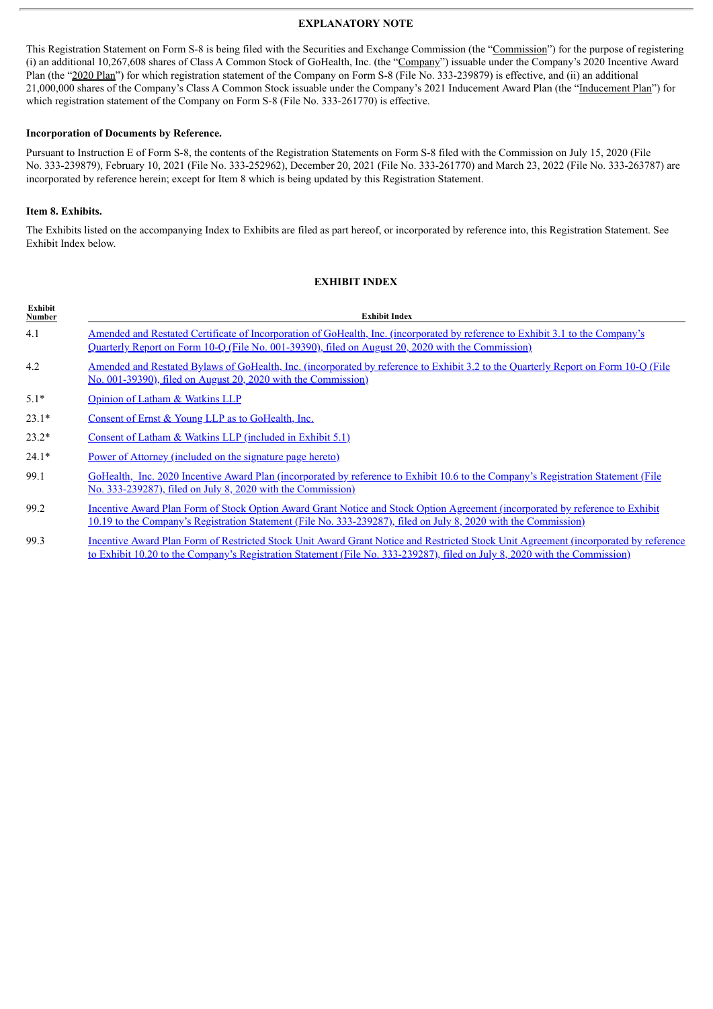#### **EXPLANATORY NOTE**

This Registration Statement on Form S-8 is being filed with the Securities and Exchange Commission (the "Commission") for the purpose of registering (i) an additional 10,267,608 shares of Class A Common Stock of GoHealth, Inc. (the "Company") issuable under the Company's 2020 Incentive Award Plan (the "2020 Plan") for which registration statement of the Company on Form S-8 (File No. 333-239879) is effective, and (ii) an additional 21,000,000 shares of the Company's Class A Common Stock issuable under the Company's 2021 Inducement Award Plan (the "Inducement Plan") for which registration statement of the Company on Form S-8 (File No. 333-261770) is effective.

#### **Incorporation of Documents by Reference.**

Pursuant to Instruction E of Form S-8, the contents of the Registration Statements on Form S-8 filed with the Commission on July 15, 2020 (File No. 333-239879), February 10, 2021 (File No. 333-252962), December 20, 2021 (File No. 333-261770) and March 23, 2022 (File No. 333-263787) are incorporated by reference herein; except for Item 8 which is being updated by this Registration Statement.

#### **Item 8. Exhibits.**

The Exhibits listed on the accompanying Index to Exhibits are filed as part hereof, or incorporated by reference into, this Registration Statement. See Exhibit Index below.

#### **EXHIBIT INDEX**

| Exhibit<br>Number | <b>Exhibit Index</b>                                                                                                                                                                                                                             |
|-------------------|--------------------------------------------------------------------------------------------------------------------------------------------------------------------------------------------------------------------------------------------------|
| 4.1               | Amended and Restated Certificate of Incorporation of GoHealth, Inc. (incorporated by reference to Exhibit 3.1 to the Company's<br>Quarterly Report on Form 10-Q (File No. 001-39390), filed on August 20, 2020 with the Commission)              |
| 4.2               | Amended and Restated Bylaws of GoHealth, Inc. (incorporated by reference to Exhibit 3.2 to the Quarterly Report on Form 10-Q (File<br><u>No. 001-39390), filed on August 20, 2020 with the Commission)</u>                                       |
| $5.1*$            | Opinion of Latham & Watkins LLP                                                                                                                                                                                                                  |
| $23.1*$           | Consent of Ernst & Young LLP as to GoHealth, Inc.                                                                                                                                                                                                |
| $23.2*$           | Consent of Latham & Watkins LLP (included in Exhibit $5.1$ )                                                                                                                                                                                     |
| $24.1*$           | Power of Attorney (included on the signature page hereto)                                                                                                                                                                                        |
| 99.1              | GoHealth, Inc. 2020 Incentive Award Plan (incorporated by reference to Exhibit 10.6 to the Company's Registration Statement (File<br><u>No. 333-239287), filed on July 8, 2020 with the Commission)</u>                                          |
| 99.2              | Incentive Award Plan Form of Stock Option Award Grant Notice and Stock Option Agreement (incorporated by reference to Exhibit<br>10.19 to the Company's Registration Statement (File No. 333-239287), filed on July 8, 2020 with the Commission) |
| 993               | Incentive Award Plan Form of Restricted Stock Unit Award Grant Notice and Restricted Stock Unit Agreement (incorporated by reference                                                                                                             |

99.3 Incentive Award Plan Form of Restricted Stock Unit Award Grant Notice and Restricted Stock Unit Agreement [\(incorporated](http://www.sec.gov/Archives/edgar/data/1808220/000119312520189225/d797183dex1020.htm) by reference to Exhibit 10.20 to the Company's Registration Statement (File No. 333-239287), filed on July 8, 2020 with the Commission)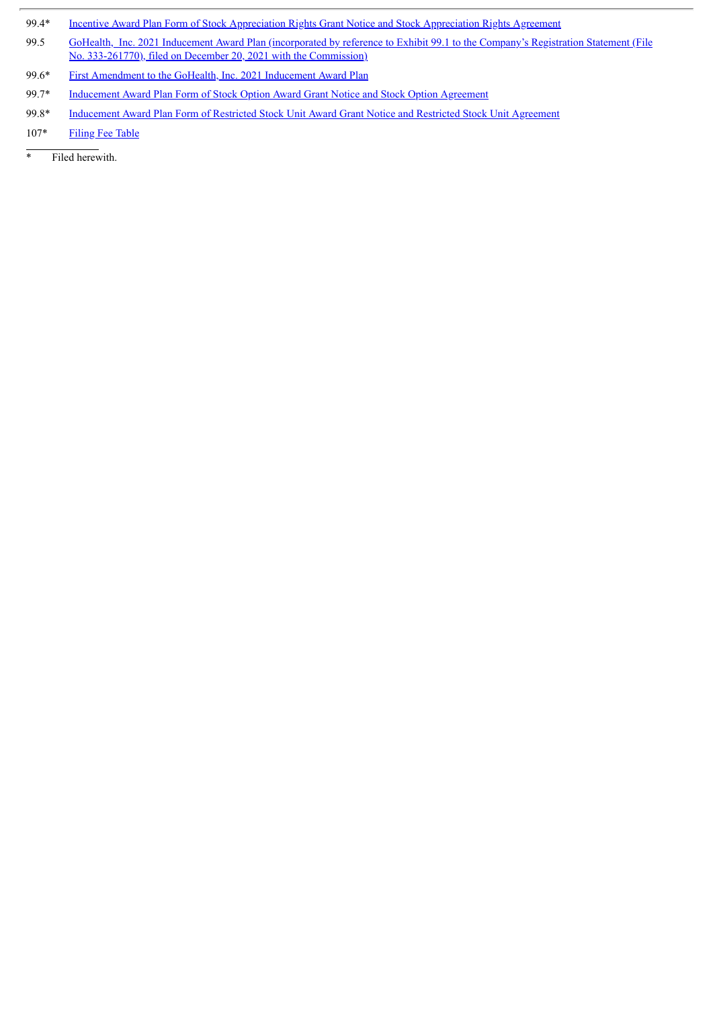- 99.4\* Incentive Award Plan Form of Stock Appreciation Rights Grant Notice and Stock [Appreciation](#page-7-0) Rights Agreement
- 99.5 GoHealth, Inc. 2021 Inducement Award Plan (incorporated by reference to Exhibit 99.1 to the Company's Registration Statement (File No. [333-261770\),](http://www.sec.gov/Archives/edgar/data/0001808220/000119312521362438/d270006dex991.htm) filed on December 20, 2021 with the Commission)
- 99.6\* First [Amendment](#page-11-0) to the GoHealth, Inc. 2021 Inducement Award Plan
- 99.7\* [Inducement](#page-13-0) Award Plan Form of Stock Option Award Grant Notice and Stock Option Agreement
- 99.8\* [Inducement](#page-24-0) Award Plan Form of Restricted Stock Unit Award Grant Notice and Restricted Stock Unit Agreement
- 107\* [Filing](#page-34-0) Fee Table
- \* Filed herewith.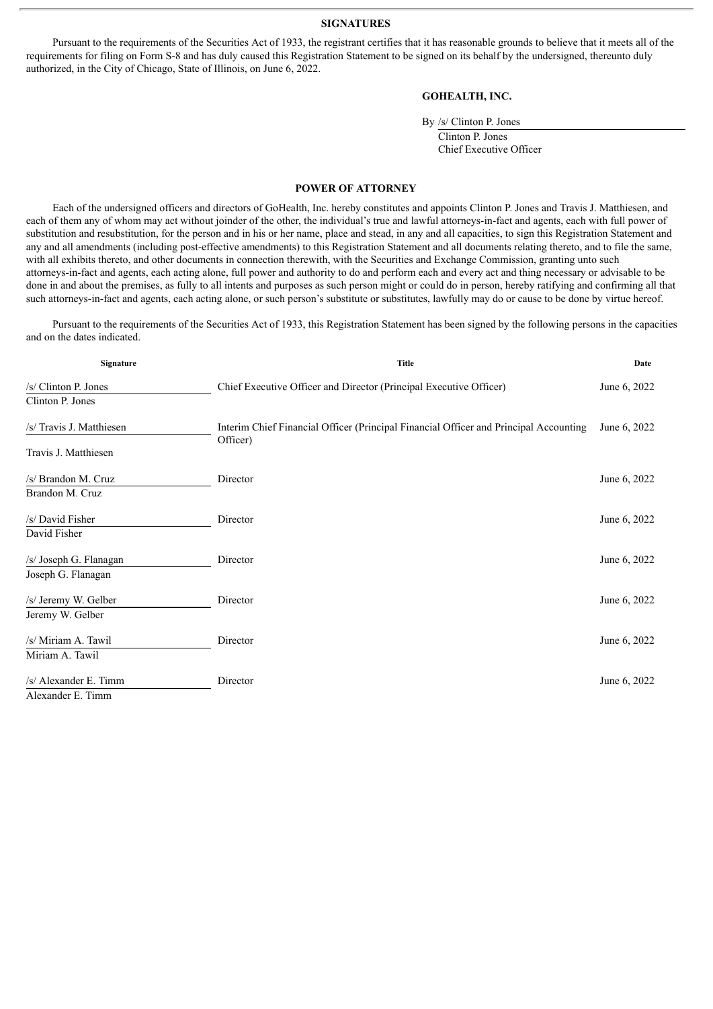**SIGNATURES**

<span id="page-3-0"></span>Pursuant to the requirements of the Securities Act of 1933, the registrant certifies that it has reasonable grounds to believe that it meets all of the requirements for filing on Form S-8 and has duly caused this Registration Statement to be signed on its behalf by the undersigned, thereunto duly authorized, in the City of Chicago, State of Illinois, on June 6, 2022.

#### **GOHEALTH, INC.**

| By /s/ Clinton P. Jones |  |  |  |  |
|-------------------------|--|--|--|--|
| Clinton P. Jones        |  |  |  |  |
| Chief Executive Officer |  |  |  |  |

#### **POWER OF ATTORNEY**

Each of the undersigned officers and directors of GoHealth, Inc. hereby constitutes and appoints Clinton P. Jones and Travis J. Matthiesen, and each of them any of whom may act without joinder of the other, the individual's true and lawful attorneys-in-fact and agents, each with full power of substitution and resubstitution, for the person and in his or her name, place and stead, in any and all capacities, to sign this Registration Statement and any and all amendments (including post-effective amendments) to this Registration Statement and all documents relating thereto, and to file the same, with all exhibits thereto, and other documents in connection therewith, with the Securities and Exchange Commission, granting unto such attorneys-in-fact and agents, each acting alone, full power and authority to do and perform each and every act and thing necessary or advisable to be done in and about the premises, as fully to all intents and purposes as such person might or could do in person, hereby ratifying and confirming all that such attorneys-in-fact and agents, each acting alone, or such person's substitute or substitutes, lawfully may do or cause to be done by virtue hereof.

Pursuant to the requirements of the Securities Act of 1933, this Registration Statement has been signed by the following persons in the capacities and on the dates indicated.

| Signature                | <b>Title</b>                                                                                      | Date         |
|--------------------------|---------------------------------------------------------------------------------------------------|--------------|
| /s/ Clinton P. Jones     | Chief Executive Officer and Director (Principal Executive Officer)                                | June 6, 2022 |
| Clinton P. Jones         |                                                                                                   |              |
| /s/ Travis J. Matthiesen | Interim Chief Financial Officer (Principal Financial Officer and Principal Accounting<br>Officer) | June 6, 2022 |
| Travis J. Matthiesen     |                                                                                                   |              |
| /s/ Brandon M. Cruz      | Director                                                                                          | June 6, 2022 |
| Brandon M. Cruz          |                                                                                                   |              |
| /s/ David Fisher         | Director                                                                                          | June 6, 2022 |
| David Fisher             |                                                                                                   |              |
| /s/ Joseph G. Flanagan   | Director                                                                                          | June 6, 2022 |
| Joseph G. Flanagan       |                                                                                                   |              |
| /s/ Jeremy W. Gelber     | Director                                                                                          | June 6, 2022 |
| Jeremy W. Gelber         |                                                                                                   |              |
| /s/ Miriam A. Tawil      | Director                                                                                          | June 6, 2022 |
| Miriam A. Tawil          |                                                                                                   |              |
| /s/ Alexander E. Timm    | Director                                                                                          | June 6, 2022 |
| Alexander E. Timm        |                                                                                                   |              |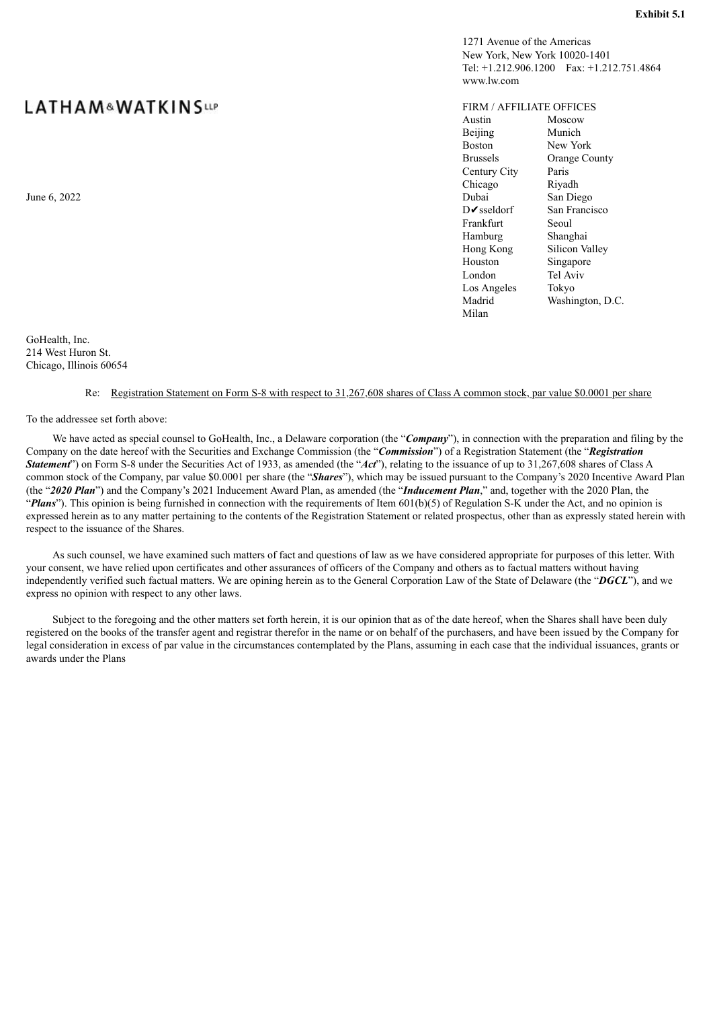# **LATHAM&WATKINSLLP**

GoHealth, Inc. 214 West Huron St.

Chicago, Illinois 60654

#### Re: Registration Statement on Form S-8 with respect to 31,267,608 shares of Class A common stock, par value \$0.0001 per share

To the addressee set forth above:

We have acted as special counsel to GoHealth, Inc., a Delaware corporation (the "**Company**"), in connection with the preparation and filing by the Company on the date hereof with the Securities and Exchange Commission (the "*Commission*") of a Registration Statement (the "*Registration Statement*") on Form S-8 under the Securities Act of 1933, as amended (the "*Act*"), relating to the issuance of up to 31,267,608 shares of Class A common stock of the Company, par value \$0.0001 per share (the "*Shares*"), which may be issued pursuant to the Company's 2020 Incentive Award Plan (the "*2020 Plan*") and the Company's 2021 Inducement Award Plan, as amended (the "*Inducement Plan*," and, together with the 2020 Plan, the "Plans"). This opinion is being furnished in connection with the requirements of Item 601(b)(5) of Regulation S-K under the Act, and no opinion is expressed herein as to any matter pertaining to the contents of the Registration Statement or related prospectus, other than as expressly stated herein with respect to the issuance of the Shares.

As such counsel, we have examined such matters of fact and questions of law as we have considered appropriate for purposes of this letter. With your consent, we have relied upon certificates and other assurances of officers of the Company and others as to factual matters without having independently verified such factual matters. We are opining herein as to the General Corporation Law of the State of Delaware (the "*DGCL*"), and we express no opinion with respect to any other laws.

Subject to the foregoing and the other matters set forth herein, it is our opinion that as of the date hereof, when the Shares shall have been duly registered on the books of the transfer agent and registrar therefor in the name or on behalf of the purchasers, and have been issued by the Company for legal consideration in excess of par value in the circumstances contemplated by the Plans, assuming in each case that the individual issuances, grants or awards under the Plans

<span id="page-4-0"></span>www.lw.com FIRM / AFFILIATE OFFICES Austin Moscow Beijing Munich Boston New York Brussels Orange County Century City Paris Chicago Riyadh June 6, 2022 San Diego Barrett and San Diego Barrett and San Diego Barrett and San Diego Barrett and San Diego DIVsseldorf San Francisco Frankfurt Seoul

> Hamburg Shanghai Hong Kong Silicon Valley Houston Singapore London Tel Aviv Los Angeles Tokyo

Milan

Madrid Washington, D.C.

1271 Avenue of the Americas New York, New York 10020-1401

Tel: +1.212.906.1200 Fax: +1.212.751.4864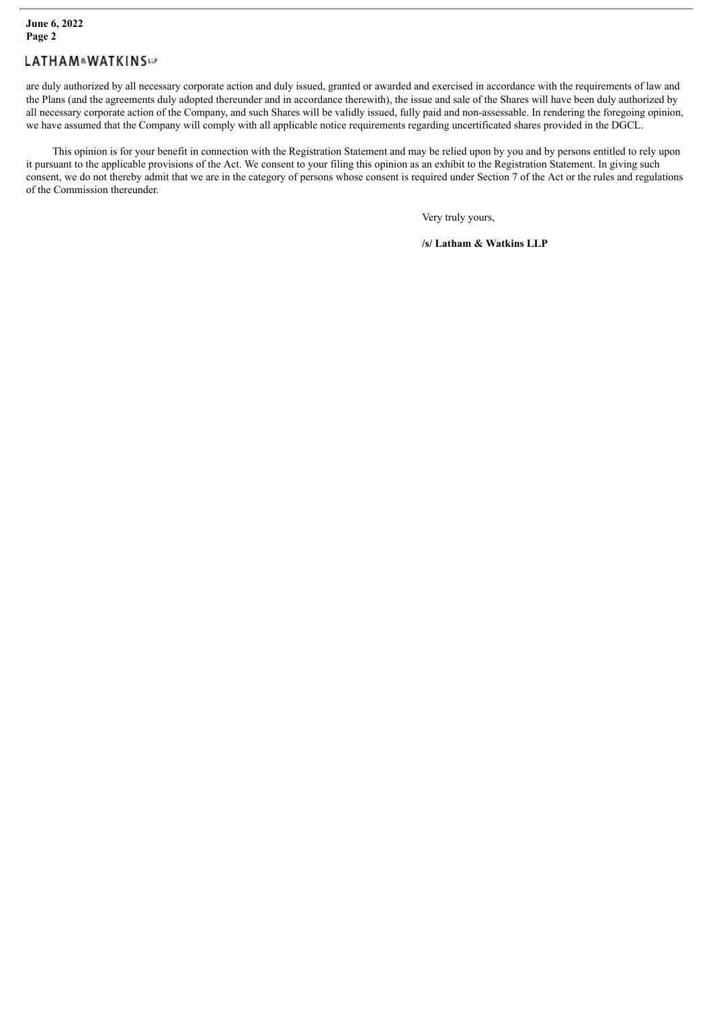# **LATHAM&WATKINSW**

are duly authorized by all necessary corporate action and duly issued, granted or awarded and exercised in accordance with the requirements of law and the Plans (and the agreements duly adopted thereunder and in accordance therewith), the issue and sale of the Shares will have been duly authorized by all necessary corporate action of the Company, and such Shares will be validly issued, fully paid and non-assessable. In rendering the foregoing opinion, we have assumed that the Company will comply with all applicable notice requirements regarding uncertificated shares provided in the DGCL.

This opinion is for your benefit in connection with the Registration Statement and may be relied upon by you and by persons entitled to rely upon it pursuant to the applicable provisions of the Act. We consent to your filing this opinion as an exhibit to the Registration Statement. In giving such consent, we do not thereby admit that we are in the category of persons whose consent is required under Section 7 of the Act or the rules and regulations of the Commission thereunder.

Very truly yours,

**/s/ Latham & Watkins LLP**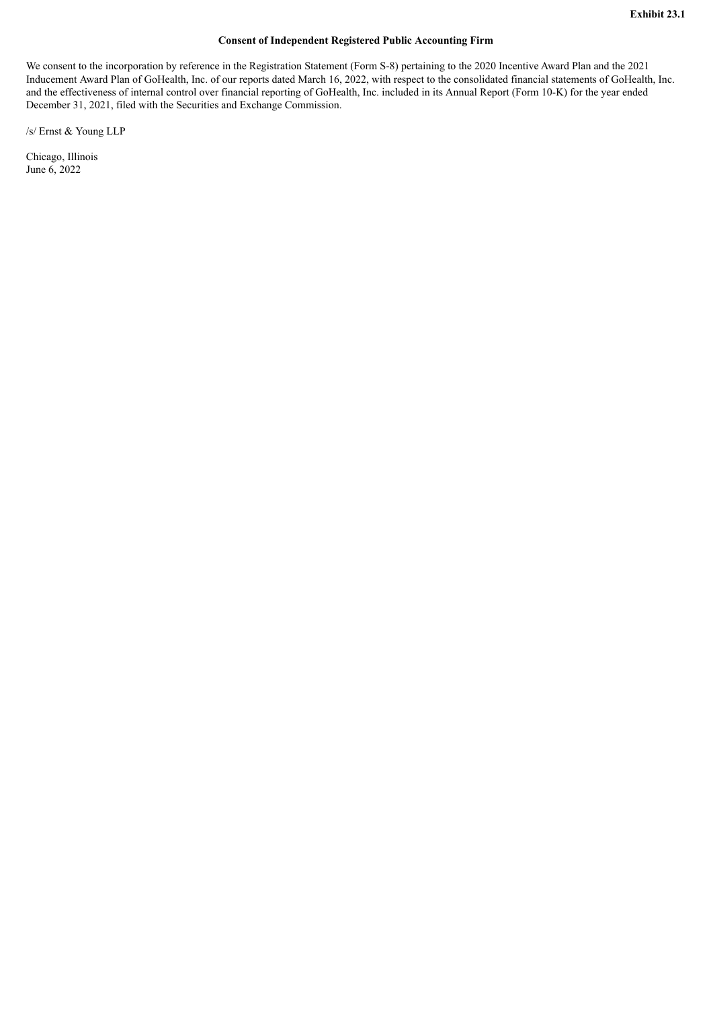#### **Consent of Independent Registered Public Accounting Firm**

<span id="page-6-0"></span>We consent to the incorporation by reference in the Registration Statement (Form S-8) pertaining to the 2020 Incentive Award Plan and the 2021 Inducement Award Plan of GoHealth, Inc. of our reports dated March 16, 2022, with respect to the consolidated financial statements of GoHealth, Inc. and the effectiveness of internal control over financial reporting of GoHealth, Inc. included in its Annual Report (Form 10-K) for the year ended December 31, 2021, filed with the Securities and Exchange Commission.

/s/ Ernst & Young LLP

Chicago, Illinois June 6, 2022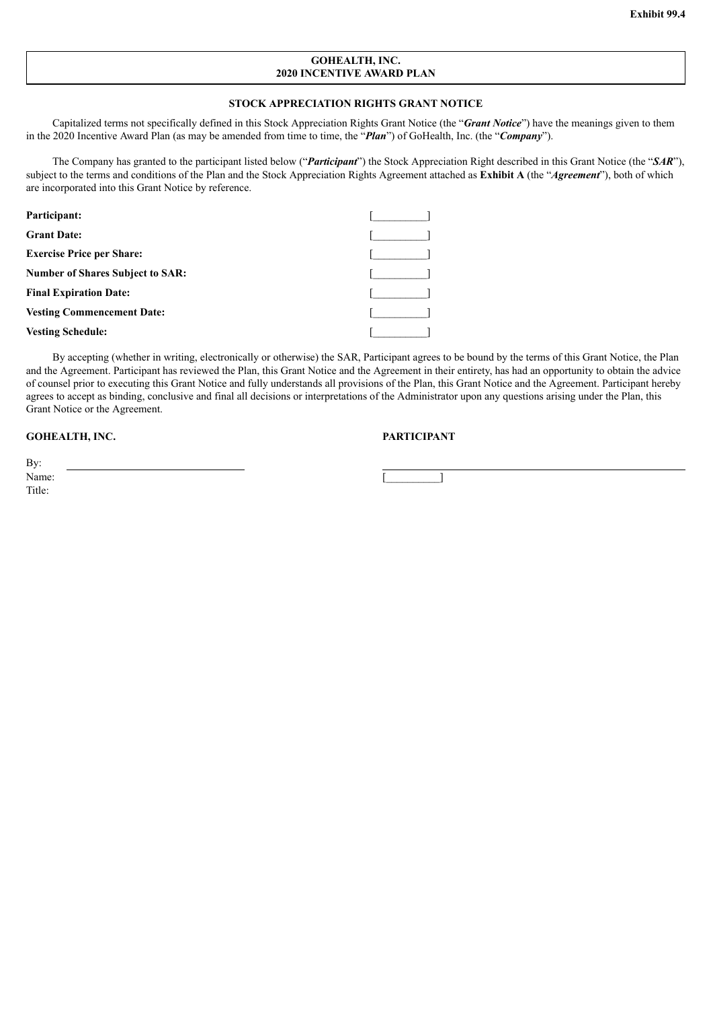#### **GOHEALTH, INC. 2020 INCENTIVE AWARD PLAN**

#### **STOCK APPRECIATION RIGHTS GRANT NOTICE**

<span id="page-7-0"></span>Capitalized terms not specifically defined in this Stock Appreciation Rights Grant Notice (the "*Grant Notice*") have the meanings given to them in the 2020 Incentive Award Plan (as may be amended from time to time, the "*Plan*") of GoHealth, Inc. (the "*Company*").

The Company has granted to the participant listed below ("*Participant*") the Stock Appreciation Right described in this Grant Notice (the "*SAR*"), subject to the terms and conditions of the Plan and the Stock Appreciation Rights Agreement attached as **Exhibit A** (the "*Agreement*"), both of which are incorporated into this Grant Notice by reference.

| Participant:                            |  |
|-----------------------------------------|--|
| <b>Grant Date:</b>                      |  |
| <b>Exercise Price per Share:</b>        |  |
| <b>Number of Shares Subject to SAR:</b> |  |
| <b>Final Expiration Date:</b>           |  |
| <b>Vesting Commencement Date:</b>       |  |
| <b>Vesting Schedule:</b>                |  |

By accepting (whether in writing, electronically or otherwise) the SAR, Participant agrees to be bound by the terms of this Grant Notice, the Plan and the Agreement. Participant has reviewed the Plan, this Grant Notice and the Agreement in their entirety, has had an opportunity to obtain the advice of counsel prior to executing this Grant Notice and fully understands all provisions of the Plan, this Grant Notice and the Agreement. Participant hereby agrees to accept as binding, conclusive and final all decisions or interpretations of the Administrator upon any questions arising under the Plan, this Grant Notice or the Agreement.

#### **GOHEALTH, INC. PARTICIPANT**

By: Name:  $\Box$ Title: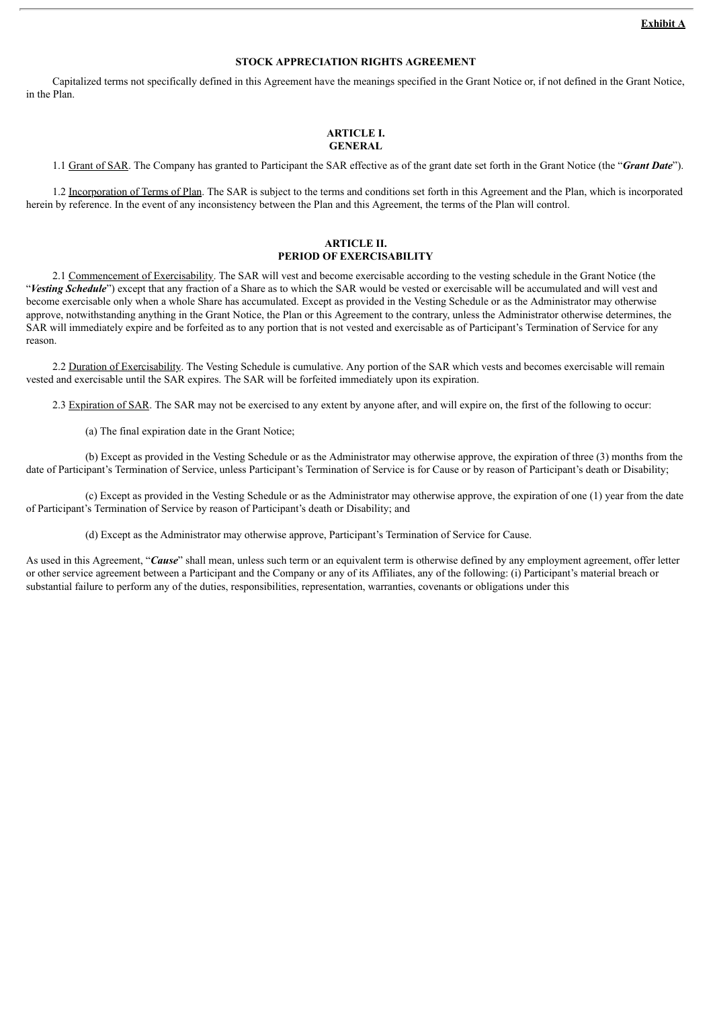#### **STOCK APPRECIATION RIGHTS AGREEMENT**

Capitalized terms not specifically defined in this Agreement have the meanings specified in the Grant Notice or, if not defined in the Grant Notice, in the Plan.

#### **ARTICLE I. GENERAL**

1.1 Grant of SAR. The Company has granted to Participant the SAR effective as of the grant date set forth in the Grant Notice (the "*Grant Date*").

1.2 Incorporation of Terms of Plan. The SAR is subject to the terms and conditions set forth in this Agreement and the Plan, which is incorporated herein by reference. In the event of any inconsistency between the Plan and this Agreement, the terms of the Plan will control.

#### **ARTICLE II. PERIOD OF EXERCISABILITY**

2.1 Commencement of Exercisability. The SAR will vest and become exercisable according to the vesting schedule in the Grant Notice (the "*Vesting Schedule*") except that any fraction of a Share as to which the SAR would be vested or exercisable will be accumulated and will vest and become exercisable only when a whole Share has accumulated. Except as provided in the Vesting Schedule or as the Administrator may otherwise approve, notwithstanding anything in the Grant Notice, the Plan or this Agreement to the contrary, unless the Administrator otherwise determines, the SAR will immediately expire and be forfeited as to any portion that is not vested and exercisable as of Participant's Termination of Service for any reason.

2.2 Duration of Exercisability. The Vesting Schedule is cumulative. Any portion of the SAR which vests and becomes exercisable will remain vested and exercisable until the SAR expires. The SAR will be forfeited immediately upon its expiration.

2.3 Expiration of SAR. The SAR may not be exercised to any extent by anyone after, and will expire on, the first of the following to occur:

(a) The final expiration date in the Grant Notice;

(b) Except as provided in the Vesting Schedule or as the Administrator may otherwise approve, the expiration of three (3) months from the date of Participant's Termination of Service, unless Participant's Termination of Service is for Cause or by reason of Participant's death or Disability;

(c) Except as provided in the Vesting Schedule or as the Administrator may otherwise approve, the expiration of one (1) year from the date of Participant's Termination of Service by reason of Participant's death or Disability; and

(d) Except as the Administrator may otherwise approve, Participant's Termination of Service for Cause.

As used in this Agreement, "*Cause*" shall mean, unless such term or an equivalent term is otherwise defined by any employment agreement, offer letter or other service agreement between a Participant and the Company or any of its Affiliates, any of the following: (i) Participant's material breach or substantial failure to perform any of the duties, responsibilities, representation, warranties, covenants or obligations under this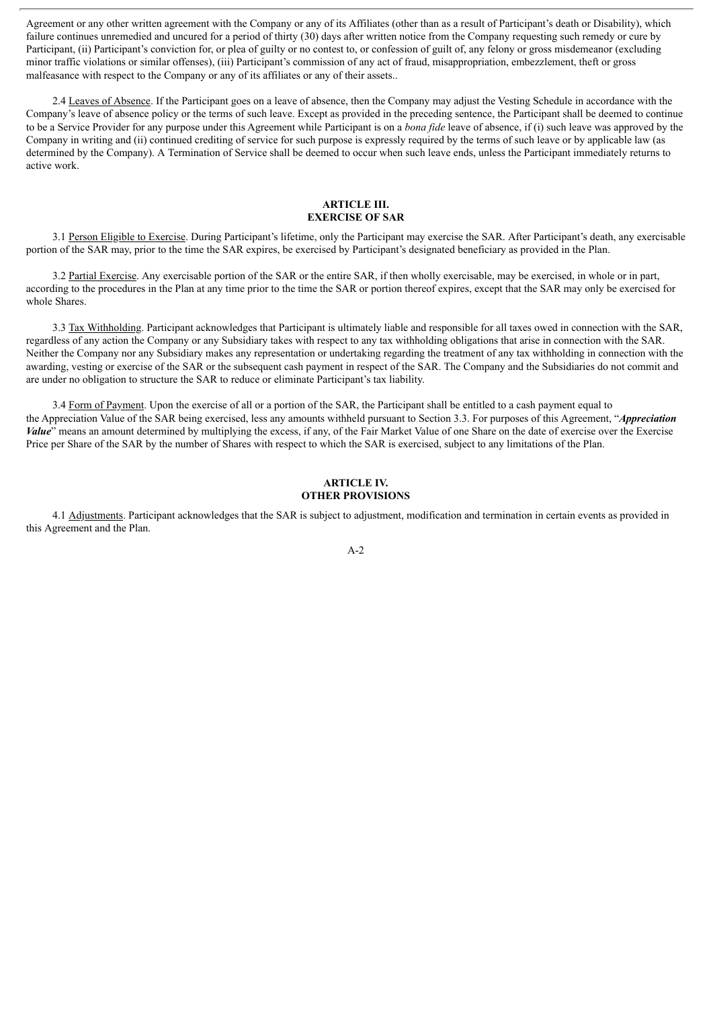Agreement or any other written agreement with the Company or any of its Affiliates (other than as a result of Participant's death or Disability), which failure continues unremedied and uncured for a period of thirty (30) days after written notice from the Company requesting such remedy or cure by Participant, (ii) Participant's conviction for, or plea of guilty or no contest to, or confession of guilt of, any felony or gross misdemeanor (excluding minor traffic violations or similar offenses), (iii) Participant's commission of any act of fraud, misappropriation, embezzlement, theft or gross malfeasance with respect to the Company or any of its affiliates or any of their assets..

2.4 Leaves of Absence. If the Participant goes on a leave of absence, then the Company may adjust the Vesting Schedule in accordance with the Company's leave of absence policy or the terms of such leave. Except as provided in the preceding sentence, the Participant shall be deemed to continue to be a Service Provider for any purpose under this Agreement while Participant is on a *bona fide* leave of absence, if (i) such leave was approved by the Company in writing and (ii) continued crediting of service for such purpose is expressly required by the terms of such leave or by applicable law (as determined by the Company). A Termination of Service shall be deemed to occur when such leave ends, unless the Participant immediately returns to active work.

#### **ARTICLE III. EXERCISE OF SAR**

3.1 Person Eligible to Exercise. During Participant's lifetime, only the Participant may exercise the SAR. After Participant's death, any exercisable portion of the SAR may, prior to the time the SAR expires, be exercised by Participant's designated beneficiary as provided in the Plan.

3.2 Partial Exercise. Any exercisable portion of the SAR or the entire SAR, if then wholly exercisable, may be exercised, in whole or in part, according to the procedures in the Plan at any time prior to the time the SAR or portion thereof expires, except that the SAR may only be exercised for whole Shares.

3.3 Tax Withholding. Participant acknowledges that Participant is ultimately liable and responsible for all taxes owed in connection with the SAR, regardless of any action the Company or any Subsidiary takes with respect to any tax withholding obligations that arise in connection with the SAR. Neither the Company nor any Subsidiary makes any representation or undertaking regarding the treatment of any tax withholding in connection with the awarding, vesting or exercise of the SAR or the subsequent cash payment in respect of the SAR. The Company and the Subsidiaries do not commit and are under no obligation to structure the SAR to reduce or eliminate Participant's tax liability.

3.4 Form of Payment. Upon the exercise of all or a portion of the SAR, the Participant shall be entitled to a cash payment equal to the Appreciation Value of the SAR being exercised, less any amounts withheld pursuant to Section 3.3. For purposes of this Agreement, "*Appreciation Value*" means an amount determined by multiplying the excess, if any, of the Fair Market Value of one Share on the date of exercise over the Exercise Price per Share of the SAR by the number of Shares with respect to which the SAR is exercised, subject to any limitations of the Plan.

#### **ARTICLE IV. OTHER PROVISIONS**

4.1 Adjustments. Participant acknowledges that the SAR is subject to adjustment, modification and termination in certain events as provided in this Agreement and the Plan.

A-2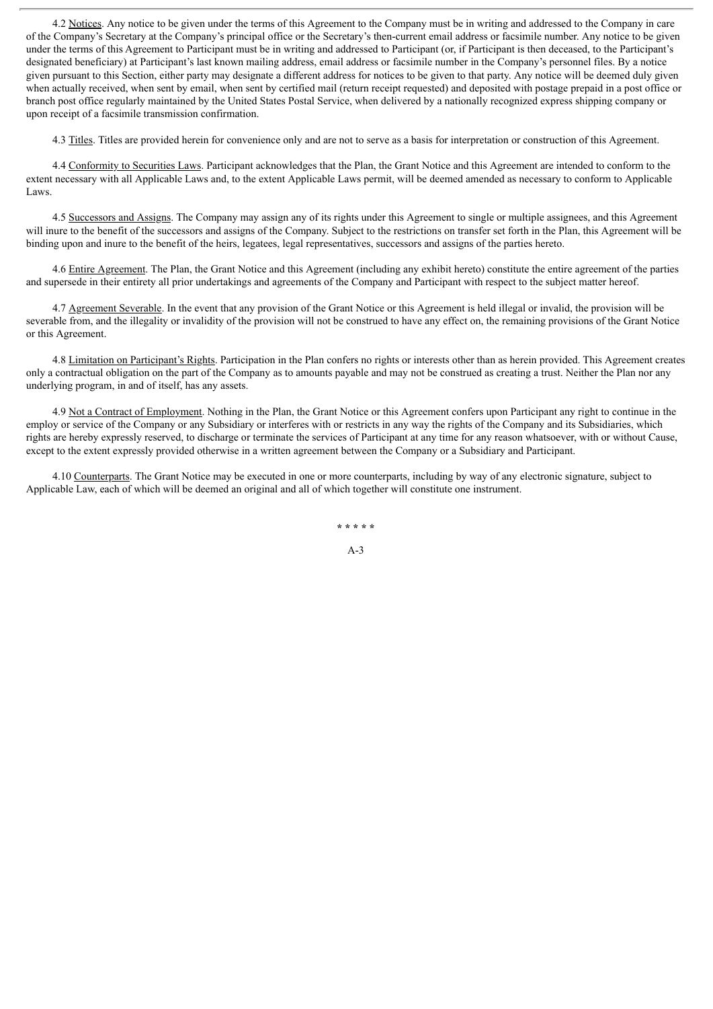4.2 Notices. Any notice to be given under the terms of this Agreement to the Company must be in writing and addressed to the Company in care of the Company's Secretary at the Company's principal office or the Secretary's then-current email address or facsimile number. Any notice to be given under the terms of this Agreement to Participant must be in writing and addressed to Participant (or, if Participant is then deceased, to the Participant's designated beneficiary) at Participant's last known mailing address, email address or facsimile number in the Company's personnel files. By a notice given pursuant to this Section, either party may designate a different address for notices to be given to that party. Any notice will be deemed duly given when actually received, when sent by email, when sent by certified mail (return receipt requested) and deposited with postage prepaid in a post office or branch post office regularly maintained by the United States Postal Service, when delivered by a nationally recognized express shipping company or upon receipt of a facsimile transmission confirmation.

4.3 Titles. Titles are provided herein for convenience only and are not to serve as a basis for interpretation or construction of this Agreement.

4.4 Conformity to Securities Laws. Participant acknowledges that the Plan, the Grant Notice and this Agreement are intended to conform to the extent necessary with all Applicable Laws and, to the extent Applicable Laws permit, will be deemed amended as necessary to conform to Applicable Laws.

4.5 Successors and Assigns. The Company may assign any of its rights under this Agreement to single or multiple assignees, and this Agreement will inure to the benefit of the successors and assigns of the Company. Subject to the restrictions on transfer set forth in the Plan, this Agreement will be binding upon and inure to the benefit of the heirs, legatees, legal representatives, successors and assigns of the parties hereto.

4.6 Entire Agreement. The Plan, the Grant Notice and this Agreement (including any exhibit hereto) constitute the entire agreement of the parties and supersede in their entirety all prior undertakings and agreements of the Company and Participant with respect to the subject matter hereof.

4.7 Agreement Severable. In the event that any provision of the Grant Notice or this Agreement is held illegal or invalid, the provision will be severable from, and the illegality or invalidity of the provision will not be construed to have any effect on, the remaining provisions of the Grant Notice or this Agreement.

4.8 Limitation on Participant's Rights. Participation in the Plan confers no rights or interests other than as herein provided. This Agreement creates only a contractual obligation on the part of the Company as to amounts payable and may not be construed as creating a trust. Neither the Plan nor any underlying program, in and of itself, has any assets.

4.9 Not a Contract of Employment. Nothing in the Plan, the Grant Notice or this Agreement confers upon Participant any right to continue in the employ or service of the Company or any Subsidiary or interferes with or restricts in any way the rights of the Company and its Subsidiaries, which rights are hereby expressly reserved, to discharge or terminate the services of Participant at any time for any reason whatsoever, with or without Cause, except to the extent expressly provided otherwise in a written agreement between the Company or a Subsidiary and Participant.

4.10 Counterparts. The Grant Notice may be executed in one or more counterparts, including by way of any electronic signature, subject to Applicable Law, each of which will be deemed an original and all of which together will constitute one instrument.

**\* \* \* \* \***

A-3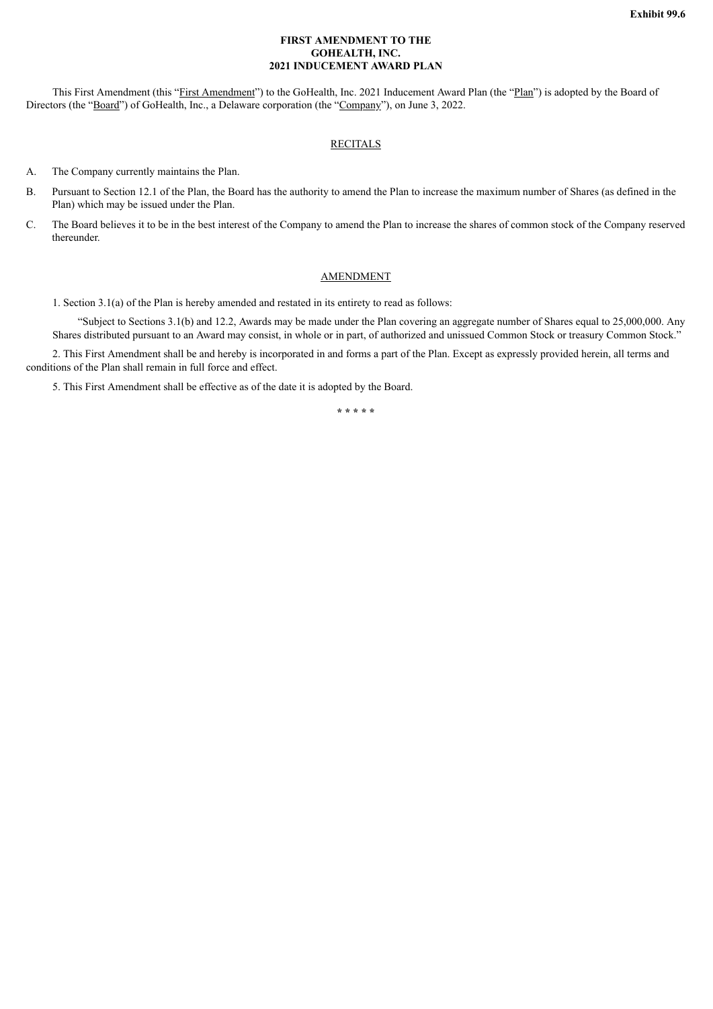#### **FIRST AMENDMENT TO THE GOHEALTH, INC. 2021 INDUCEMENT AWARD PLAN**

<span id="page-11-0"></span>This First Amendment (this "First Amendment") to the GoHealth, Inc. 2021 Inducement Award Plan (the "Plan") is adopted by the Board of Directors (the "Board") of GoHealth, Inc., a Delaware corporation (the "Company"), on June 3, 2022.

#### **RECITALS**

A. The Company currently maintains the Plan.

- B. Pursuant to Section 12.1 of the Plan, the Board has the authority to amend the Plan to increase the maximum number of Shares (as defined in the Plan) which may be issued under the Plan.
- C. The Board believes it to be in the best interest of the Company to amend the Plan to increase the shares of common stock of the Company reserved thereunder.

#### AMENDMENT

1. Section 3.1(a) of the Plan is hereby amended and restated in its entirety to read as follows:

"Subject to Sections 3.1(b) and 12.2, Awards may be made under the Plan covering an aggregate number of Shares equal to 25,000,000. Any Shares distributed pursuant to an Award may consist, in whole or in part, of authorized and unissued Common Stock or treasury Common Stock."

2. This First Amendment shall be and hereby is incorporated in and forms a part of the Plan. Except as expressly provided herein, all terms and conditions of the Plan shall remain in full force and effect.

5. This First Amendment shall be effective as of the date it is adopted by the Board.

**\* \* \* \* \***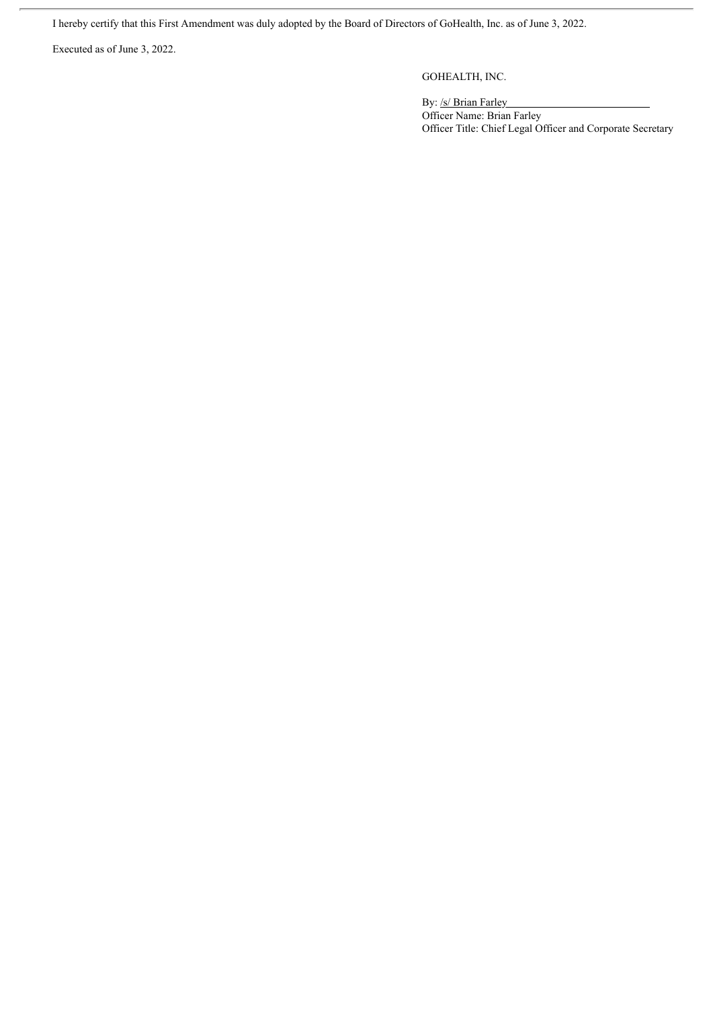I hereby certify that this First Amendment was duly adopted by the Board of Directors of GoHealth, Inc. as of June 3, 2022.

Executed as of June 3, 2022.

GOHEALTH, INC.

By: /s/ Brian Farley Officer Name: Brian Farley Officer Title: Chief Legal Officer and Corporate Secretary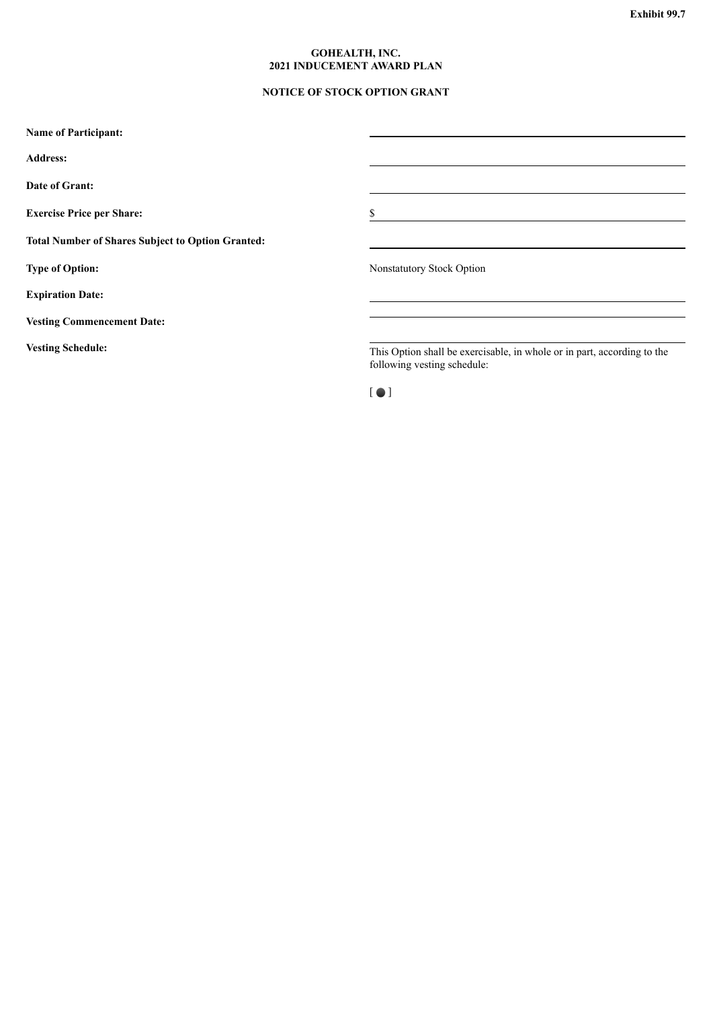#### **GOHEALTH, INC. 2021 INDUCEMENT AWARD PLAN**

### **NOTICE OF STOCK OPTION GRANT**

<span id="page-13-0"></span>

| <b>Name of Participant:</b>                              |                                                                                                        |
|----------------------------------------------------------|--------------------------------------------------------------------------------------------------------|
| <b>Address:</b>                                          |                                                                                                        |
| Date of Grant:                                           |                                                                                                        |
| <b>Exercise Price per Share:</b>                         | S                                                                                                      |
| <b>Total Number of Shares Subject to Option Granted:</b> |                                                                                                        |
| <b>Type of Option:</b>                                   | <b>Nonstatutory Stock Option</b>                                                                       |
| <b>Expiration Date:</b>                                  |                                                                                                        |
| <b>Vesting Commencement Date:</b>                        |                                                                                                        |
| <b>Vesting Schedule:</b>                                 | This Option shall be exercisable, in whole or in part, according to the<br>following vesting schedule: |
|                                                          | I O I                                                                                                  |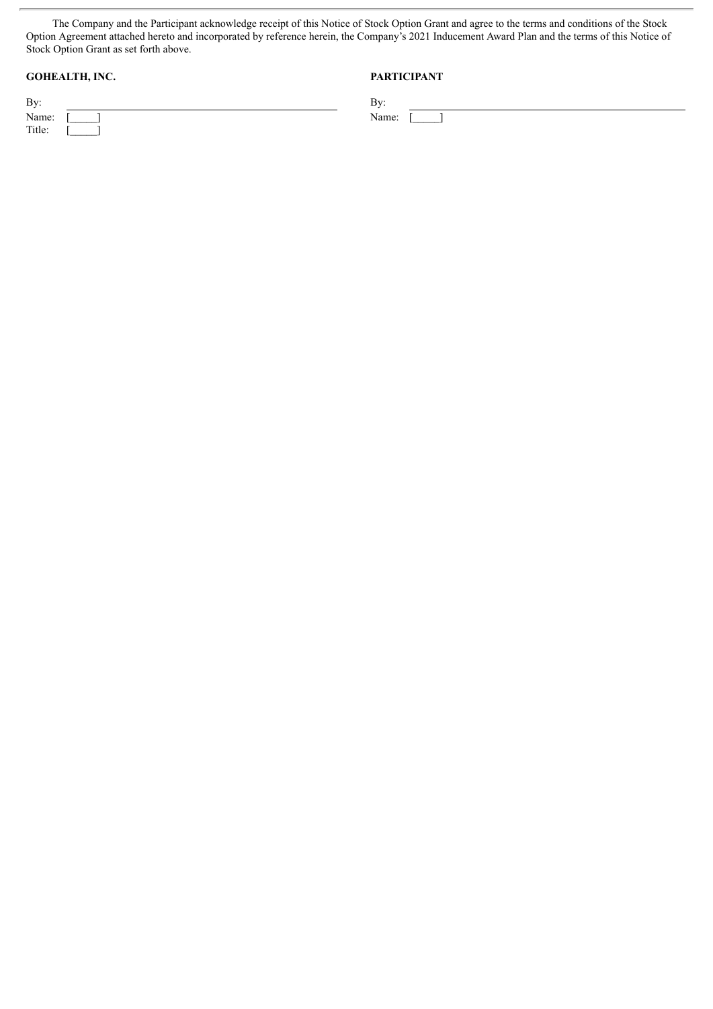The Company and the Participant acknowledge receipt of this Notice of Stock Option Grant and agree to the terms and conditions of the Stock Option Agreement attached hereto and incorporated by reference herein, the Company's 2021 Inducement Award Plan and the terms of this Notice of Stock Option Grant as set forth above.

## **GOHEALTH, INC. PARTICIPANT**

| By:     | …ר  |
|---------|-----|
| Name: [ | Van |
| Title:  |     |

Name:  $\begin{bmatrix} 1 \end{bmatrix}$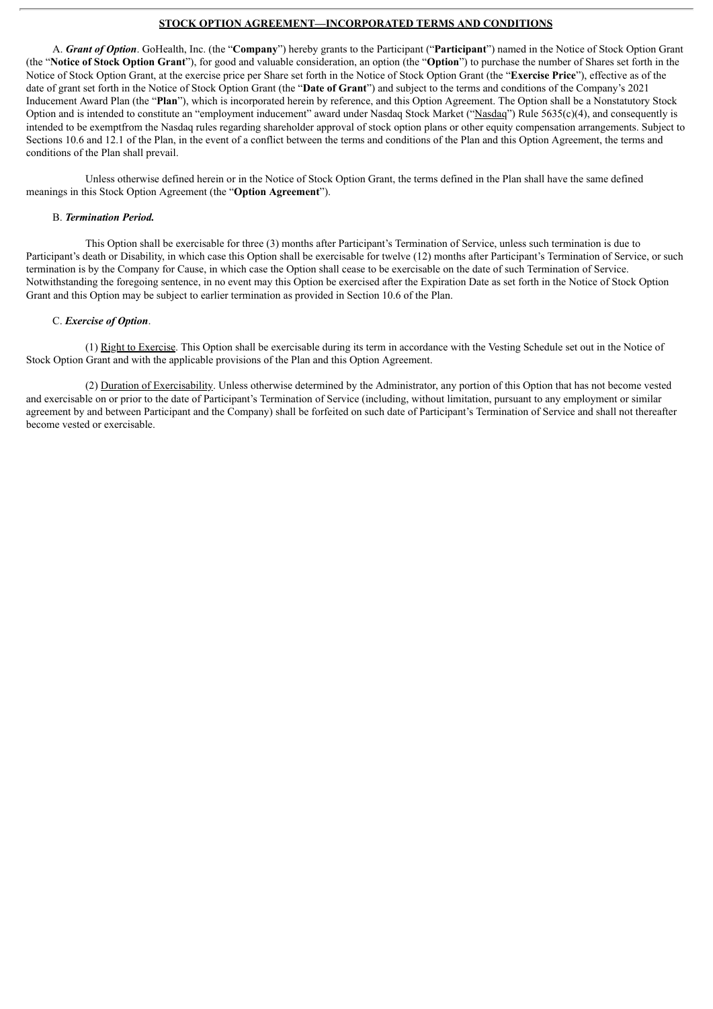#### **STOCK OPTION AGREEMENT—INCORPORATED TERMS AND CONDITIONS**

A. *Grant of Option*. GoHealth, Inc. (the "**Company**") hereby grants to the Participant ("**Participant**") named in the Notice of Stock Option Grant (the "**Notice of Stock Option Grant**"), for good and valuable consideration, an option (the "**Option**") to purchase the number of Shares set forth in the Notice of Stock Option Grant, at the exercise price per Share set forth in the Notice of Stock Option Grant (the "**Exercise Price**"), effective as of the date of grant set forth in the Notice of Stock Option Grant (the "**Date of Grant**") and subject to the terms and conditions of the Company's 2021 Inducement Award Plan (the "**Plan**"), which is incorporated herein by reference, and this Option Agreement. The Option shall be a Nonstatutory Stock Option and is intended to constitute an "employment inducement" award under Nasdaq Stock Market ("Nasdaq") Rule 5635(c)(4), and consequently is intended to be exemptfrom the Nasdaq rules regarding shareholder approval of stock option plans or other equity compensation arrangements. Subject to Sections 10.6 and 12.1 of the Plan, in the event of a conflict between the terms and conditions of the Plan and this Option Agreement, the terms and conditions of the Plan shall prevail.

Unless otherwise defined herein or in the Notice of Stock Option Grant, the terms defined in the Plan shall have the same defined meanings in this Stock Option Agreement (the "**Option Agreement**").

#### B. *Termination Period.*

This Option shall be exercisable for three (3) months after Participant's Termination of Service, unless such termination is due to Participant's death or Disability, in which case this Option shall be exercisable for twelve (12) months after Participant's Termination of Service, or such termination is by the Company for Cause, in which case the Option shall cease to be exercisable on the date of such Termination of Service. Notwithstanding the foregoing sentence, in no event may this Option be exercised after the Expiration Date as set forth in the Notice of Stock Option Grant and this Option may be subject to earlier termination as provided in Section 10.6 of the Plan.

#### C. *Exercise of Option*.

(1) Right to Exercise. This Option shall be exercisable during its term in accordance with the Vesting Schedule set out in the Notice of Stock Option Grant and with the applicable provisions of the Plan and this Option Agreement.

(2) Duration of Exercisability. Unless otherwise determined by the Administrator, any portion of this Option that has not become vested and exercisable on or prior to the date of Participant's Termination of Service (including, without limitation, pursuant to any employment or similar agreement by and between Participant and the Company) shall be forfeited on such date of Participant's Termination of Service and shall not thereafter become vested or exercisable.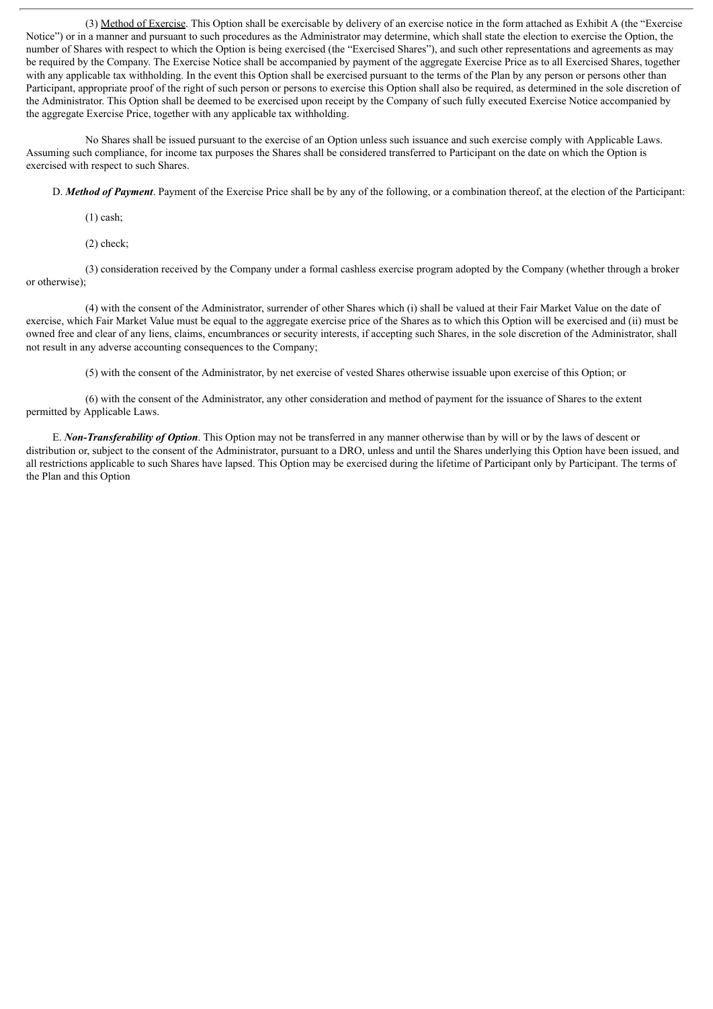(3) Method of Exercise. This Option shall be exercisable by delivery of an exercise notice in the form attached as Exhibit A (the "Exercise Notice") or in a manner and pursuant to such procedures as the Administrator may determine, which shall state the election to exercise the Option, the number of Shares with respect to which the Option is being exercised (the "Exercised Shares"), and such other representations and agreements as may be required by the Company. The Exercise Notice shall be accompanied by payment of the aggregate Exercise Price as to all Exercised Shares, together with any applicable tax withholding. In the event this Option shall be exercised pursuant to the terms of the Plan by any person or persons other than Participant, appropriate proof of the right of such person or persons to exercise this Option shall also be required, as determined in the sole discretion of the Administrator. This Option shall be deemed to be exercised upon receipt by the Company of such fully executed Exercise Notice accompanied by the aggregate Exercise Price, together with any applicable tax withholding.

No Shares shall be issued pursuant to the exercise of an Option unless such issuance and such exercise comply with Applicable Laws. Assuming such compliance, for income tax purposes the Shares shall be considered transferred to Participant on the date on which the Option is exercised with respect to such Shares.

D. *Method of Payment*. Payment of the Exercise Price shall be by any of the following, or a combination thereof, at the election of the Participant:

(1) cash;

(2) check;

(3) consideration received by the Company under a formal cashless exercise program adopted by the Company (whether through a broker or otherwise);

(4) with the consent of the Administrator, surrender of other Shares which (i) shall be valued at their Fair Market Value on the date of exercise, which Fair Market Value must be equal to the aggregate exercise price of the Shares as to which this Option will be exercised and (ii) must be owned free and clear of any liens, claims, encumbrances or security interests, if accepting such Shares, in the sole discretion of the Administrator, shall not result in any adverse accounting consequences to the Company;

(5) with the consent of the Administrator, by net exercise of vested Shares otherwise issuable upon exercise of this Option; or

(6) with the consent of the Administrator, any other consideration and method of payment for the issuance of Shares to the extent permitted by Applicable Laws.

E. *Non-Transferability of Option*. This Option may not be transferred in any manner otherwise than by will or by the laws of descent or distribution or, subject to the consent of the Administrator, pursuant to a DRO, unless and until the Shares underlying this Option have been issued, and all restrictions applicable to such Shares have lapsed. This Option may be exercised during the lifetime of Participant only by Participant. The terms of the Plan and this Option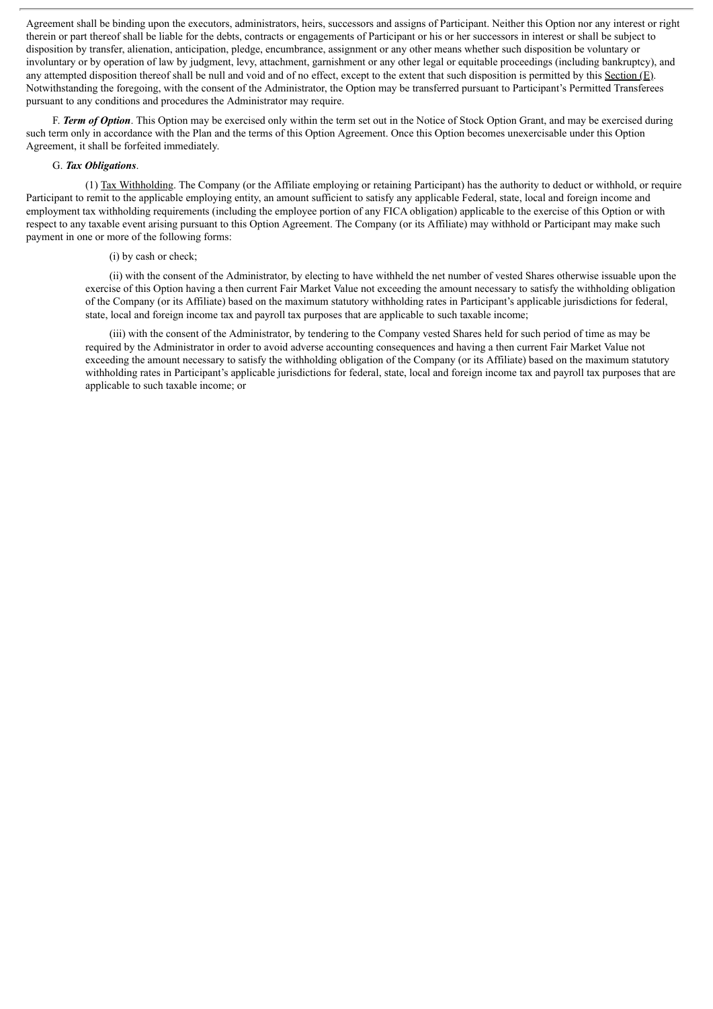Agreement shall be binding upon the executors, administrators, heirs, successors and assigns of Participant. Neither this Option nor any interest or right therein or part thereof shall be liable for the debts, contracts or engagements of Participant or his or her successors in interest or shall be subject to disposition by transfer, alienation, anticipation, pledge, encumbrance, assignment or any other means whether such disposition be voluntary or involuntary or by operation of law by judgment, levy, attachment, garnishment or any other legal or equitable proceedings (including bankruptcy), and any attempted disposition thereof shall be null and void and of no effect, except to the extent that such disposition is permitted by this Section (E). Notwithstanding the foregoing, with the consent of the Administrator, the Option may be transferred pursuant to Participant's Permitted Transferees pursuant to any conditions and procedures the Administrator may require.

F. *Term of Option*. This Option may be exercised only within the term set out in the Notice of Stock Option Grant, and may be exercised during such term only in accordance with the Plan and the terms of this Option Agreement. Once this Option becomes unexercisable under this Option Agreement, it shall be forfeited immediately.

#### G. *Tax Obligations*.

(1) Tax Withholding. The Company (or the Affiliate employing or retaining Participant) has the authority to deduct or withhold, or require Participant to remit to the applicable employing entity, an amount sufficient to satisfy any applicable Federal, state, local and foreign income and employment tax withholding requirements (including the employee portion of any FICA obligation) applicable to the exercise of this Option or with respect to any taxable event arising pursuant to this Option Agreement. The Company (or its Affiliate) may withhold or Participant may make such payment in one or more of the following forms:

#### (i) by cash or check;

(ii) with the consent of the Administrator, by electing to have withheld the net number of vested Shares otherwise issuable upon the exercise of this Option having a then current Fair Market Value not exceeding the amount necessary to satisfy the withholding obligation of the Company (or its Affiliate) based on the maximum statutory withholding rates in Participant's applicable jurisdictions for federal, state, local and foreign income tax and payroll tax purposes that are applicable to such taxable income;

(iii) with the consent of the Administrator, by tendering to the Company vested Shares held for such period of time as may be required by the Administrator in order to avoid adverse accounting consequences and having a then current Fair Market Value not exceeding the amount necessary to satisfy the withholding obligation of the Company (or its Affiliate) based on the maximum statutory withholding rates in Participant's applicable jurisdictions for federal, state, local and foreign income tax and payroll tax purposes that are applicable to such taxable income; or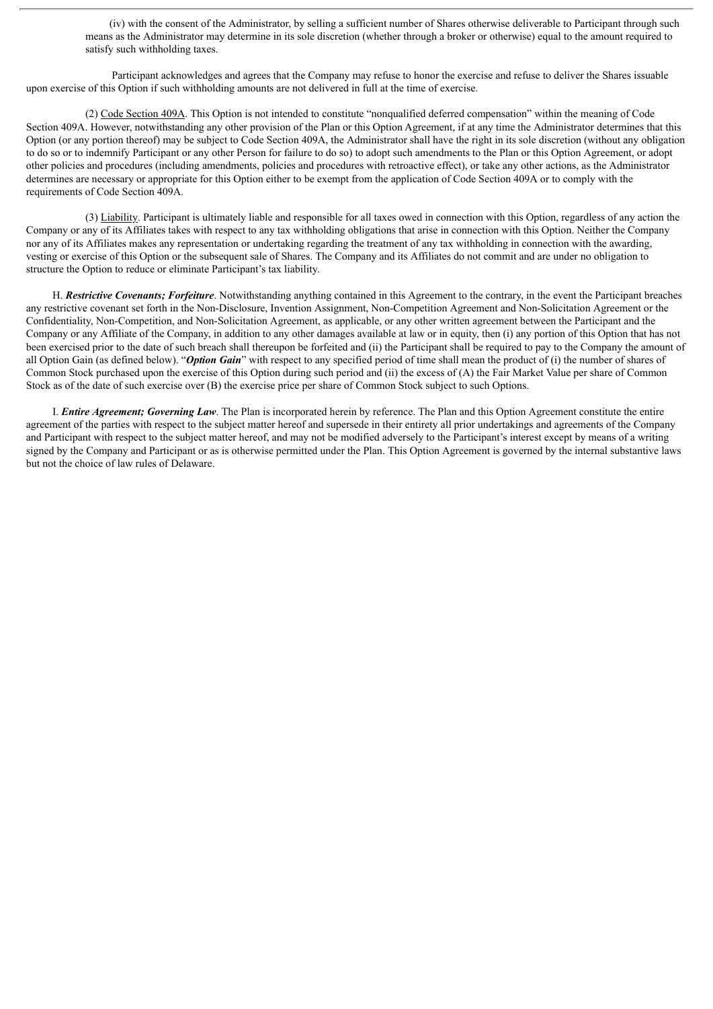(iv) with the consent of the Administrator, by selling a sufficient number of Shares otherwise deliverable to Participant through such means as the Administrator may determine in its sole discretion (whether through a broker or otherwise) equal to the amount required to satisfy such withholding taxes.

Participant acknowledges and agrees that the Company may refuse to honor the exercise and refuse to deliver the Shares issuable upon exercise of this Option if such withholding amounts are not delivered in full at the time of exercise.

(2) Code Section 409A. This Option is not intended to constitute "nonqualified deferred compensation" within the meaning of Code Section 409A. However, notwithstanding any other provision of the Plan or this Option Agreement, if at any time the Administrator determines that this Option (or any portion thereof) may be subject to Code Section 409A, the Administrator shall have the right in its sole discretion (without any obligation to do so or to indemnify Participant or any other Person for failure to do so) to adopt such amendments to the Plan or this Option Agreement, or adopt other policies and procedures (including amendments, policies and procedures with retroactive effect), or take any other actions, as the Administrator determines are necessary or appropriate for this Option either to be exempt from the application of Code Section 409A or to comply with the requirements of Code Section 409A.

(3) Liability. Participant is ultimately liable and responsible for all taxes owed in connection with this Option, regardless of any action the Company or any of its Affiliates takes with respect to any tax withholding obligations that arise in connection with this Option. Neither the Company nor any of its Affiliates makes any representation or undertaking regarding the treatment of any tax withholding in connection with the awarding, vesting or exercise of this Option or the subsequent sale of Shares. The Company and its Affiliates do not commit and are under no obligation to structure the Option to reduce or eliminate Participant's tax liability.

H. *Restrictive Covenants; Forfeiture*. Notwithstanding anything contained in this Agreement to the contrary, in the event the Participant breaches any restrictive covenant set forth in the Non-Disclosure, Invention Assignment, Non-Competition Agreement and Non-Solicitation Agreement or the Confidentiality, Non-Competition, and Non-Solicitation Agreement, as applicable, or any other written agreement between the Participant and the Company or any Affiliate of the Company, in addition to any other damages available at law or in equity, then (i) any portion of this Option that has not been exercised prior to the date of such breach shall thereupon be forfeited and (ii) the Participant shall be required to pay to the Company the amount of all Option Gain (as defined below). "*Option Gain*" with respect to any specified period of time shall mean the product of (i) the number of shares of Common Stock purchased upon the exercise of this Option during such period and (ii) the excess of (A) the Fair Market Value per share of Common Stock as of the date of such exercise over (B) the exercise price per share of Common Stock subject to such Options.

I. *Entire Agreement; Governing Law*. The Plan is incorporated herein by reference. The Plan and this Option Agreement constitute the entire agreement of the parties with respect to the subject matter hereof and supersede in their entirety all prior undertakings and agreements of the Company and Participant with respect to the subject matter hereof, and may not be modified adversely to the Participant's interest except by means of a writing signed by the Company and Participant or as is otherwise permitted under the Plan. This Option Agreement is governed by the internal substantive laws but not the choice of law rules of Delaware.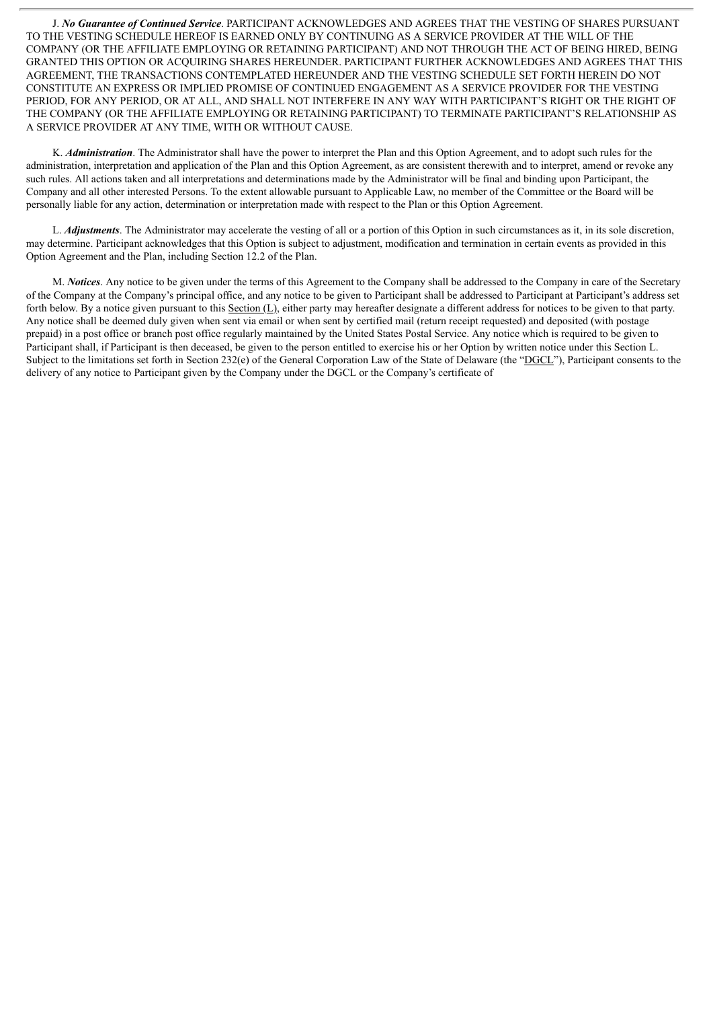J. *No Guarantee of Continued Service*. PARTICIPANT ACKNOWLEDGES AND AGREES THAT THE VESTING OF SHARES PURSUANT TO THE VESTING SCHEDULE HEREOF IS EARNED ONLY BY CONTINUING AS A SERVICE PROVIDER AT THE WILL OF THE COMPANY (OR THE AFFILIATE EMPLOYING OR RETAINING PARTICIPANT) AND NOT THROUGH THE ACT OF BEING HIRED, BEING GRANTED THIS OPTION OR ACQUIRING SHARES HEREUNDER. PARTICIPANT FURTHER ACKNOWLEDGES AND AGREES THAT THIS AGREEMENT, THE TRANSACTIONS CONTEMPLATED HEREUNDER AND THE VESTING SCHEDULE SET FORTH HEREIN DO NOT CONSTITUTE AN EXPRESS OR IMPLIED PROMISE OF CONTINUED ENGAGEMENT AS A SERVICE PROVIDER FOR THE VESTING PERIOD, FOR ANY PERIOD, OR AT ALL, AND SHALL NOT INTERFERE IN ANY WAY WITH PARTICIPANT'S RIGHT OR THE RIGHT OF THE COMPANY (OR THE AFFILIATE EMPLOYING OR RETAINING PARTICIPANT) TO TERMINATE PARTICIPANT'S RELATIONSHIP AS A SERVICE PROVIDER AT ANY TIME, WITH OR WITHOUT CAUSE.

K. *Administration*. The Administrator shall have the power to interpret the Plan and this Option Agreement, and to adopt such rules for the administration, interpretation and application of the Plan and this Option Agreement, as are consistent therewith and to interpret, amend or revoke any such rules. All actions taken and all interpretations and determinations made by the Administrator will be final and binding upon Participant, the Company and all other interested Persons. To the extent allowable pursuant to Applicable Law, no member of the Committee or the Board will be personally liable for any action, determination or interpretation made with respect to the Plan or this Option Agreement.

L. *Adjustments*. The Administrator may accelerate the vesting of all or a portion of this Option in such circumstances as it, in its sole discretion, may determine. Participant acknowledges that this Option is subject to adjustment, modification and termination in certain events as provided in this Option Agreement and the Plan, including Section 12.2 of the Plan.

M. *Notices*. Any notice to be given under the terms of this Agreement to the Company shall be addressed to the Company in care of the Secretary of the Company at the Company's principal office, and any notice to be given to Participant shall be addressed to Participant at Participant's address set forth below. By a notice given pursuant to this Section  $(L)$ , either party may hereafter designate a different address for notices to be given to that party. Any notice shall be deemed duly given when sent via email or when sent by certified mail (return receipt requested) and deposited (with postage prepaid) in a post office or branch post office regularly maintained by the United States Postal Service. Any notice which is required to be given to Participant shall, if Participant is then deceased, be given to the person entitled to exercise his or her Option by written notice under this Section L. Subject to the limitations set forth in Section 232(e) of the General Corporation Law of the State of Delaware (the "DGCL"), Participant consents to the delivery of any notice to Participant given by the Company under the DGCL or the Company's certificate of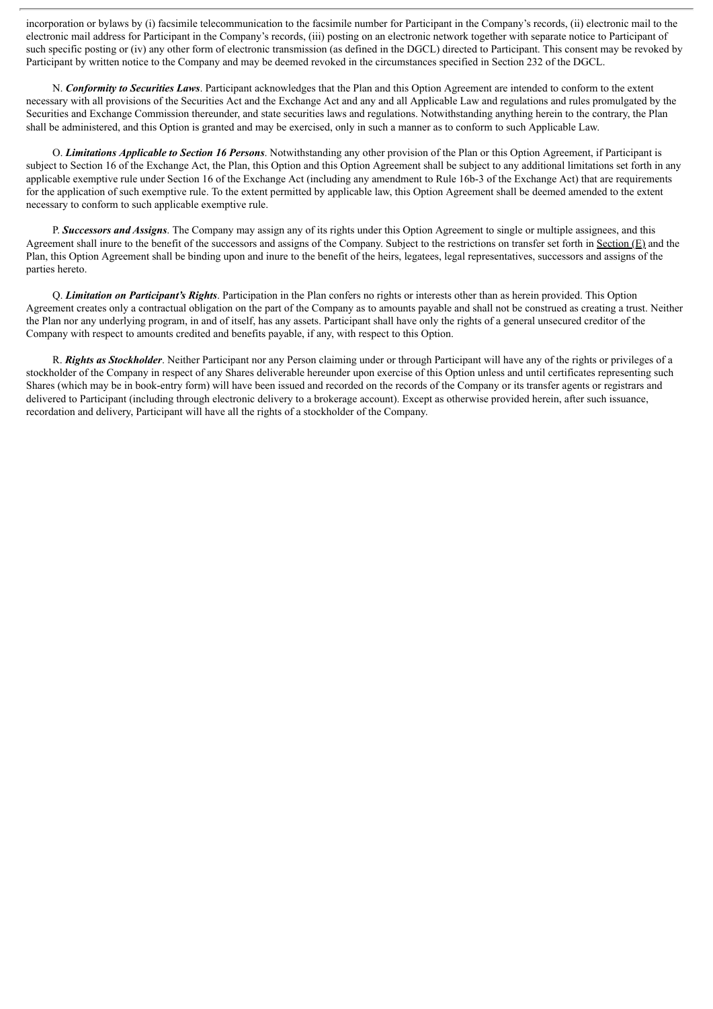incorporation or bylaws by (i) facsimile telecommunication to the facsimile number for Participant in the Company's records, (ii) electronic mail to the electronic mail address for Participant in the Company's records, (iii) posting on an electronic network together with separate notice to Participant of such specific posting or (iv) any other form of electronic transmission (as defined in the DGCL) directed to Participant. This consent may be revoked by Participant by written notice to the Company and may be deemed revoked in the circumstances specified in Section 232 of the DGCL.

N. *Conformity to Securities Laws*. Participant acknowledges that the Plan and this Option Agreement are intended to conform to the extent necessary with all provisions of the Securities Act and the Exchange Act and any and all Applicable Law and regulations and rules promulgated by the Securities and Exchange Commission thereunder, and state securities laws and regulations. Notwithstanding anything herein to the contrary, the Plan shall be administered, and this Option is granted and may be exercised, only in such a manner as to conform to such Applicable Law.

O. *Limitations Applicable to Section 16 Persons*. Notwithstanding any other provision of the Plan or this Option Agreement, if Participant is subject to Section 16 of the Exchange Act, the Plan, this Option and this Option Agreement shall be subject to any additional limitations set forth in any applicable exemptive rule under Section 16 of the Exchange Act (including any amendment to Rule 16b-3 of the Exchange Act) that are requirements for the application of such exemptive rule. To the extent permitted by applicable law, this Option Agreement shall be deemed amended to the extent necessary to conform to such applicable exemptive rule.

P. *Successors and Assigns*. The Company may assign any of its rights under this Option Agreement to single or multiple assignees, and this Agreement shall inure to the benefit of the successors and assigns of the Company. Subject to the restrictions on transfer set forth in Section  $(E)$  and the Plan, this Option Agreement shall be binding upon and inure to the benefit of the heirs, legatees, legal representatives, successors and assigns of the parties hereto.

Q. *Limitation on Participant's Rights*. Participation in the Plan confers no rights or interests other than as herein provided. This Option Agreement creates only a contractual obligation on the part of the Company as to amounts payable and shall not be construed as creating a trust. Neither the Plan nor any underlying program, in and of itself, has any assets. Participant shall have only the rights of a general unsecured creditor of the Company with respect to amounts credited and benefits payable, if any, with respect to this Option.

R. *Rights as Stockholder*. Neither Participant nor any Person claiming under or through Participant will have any of the rights or privileges of a stockholder of the Company in respect of any Shares deliverable hereunder upon exercise of this Option unless and until certificates representing such Shares (which may be in book-entry form) will have been issued and recorded on the records of the Company or its transfer agents or registrars and delivered to Participant (including through electronic delivery to a brokerage account). Except as otherwise provided herein, after such issuance, recordation and delivery, Participant will have all the rights of a stockholder of the Company.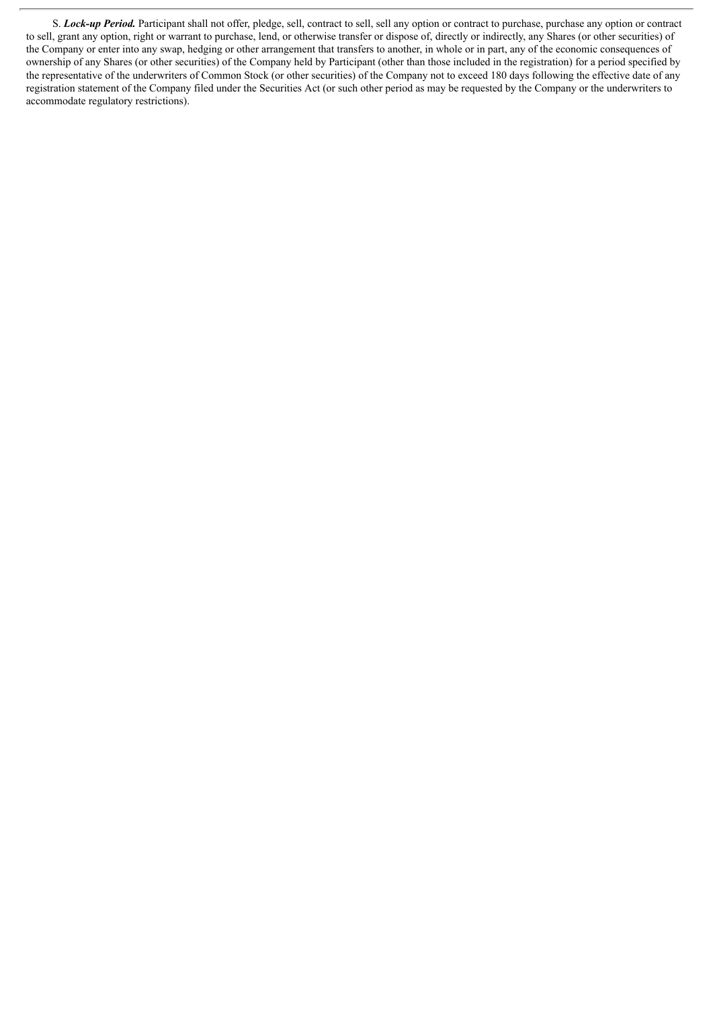S. *Lock-up Period.* Participant shall not offer, pledge, sell, contract to sell, sell any option or contract to purchase, purchase any option or contract to sell, grant any option, right or warrant to purchase, lend, or otherwise transfer or dispose of, directly or indirectly, any Shares (or other securities) of the Company or enter into any swap, hedging or other arrangement that transfers to another, in whole or in part, any of the economic consequences of ownership of any Shares (or other securities) of the Company held by Participant (other than those included in the registration) for a period specified by the representative of the underwriters of Common Stock (or other securities) of the Company not to exceed 180 days following the effective date of any registration statement of the Company filed under the Securities Act (or such other period as may be requested by the Company or the underwriters to accommodate regulatory restrictions).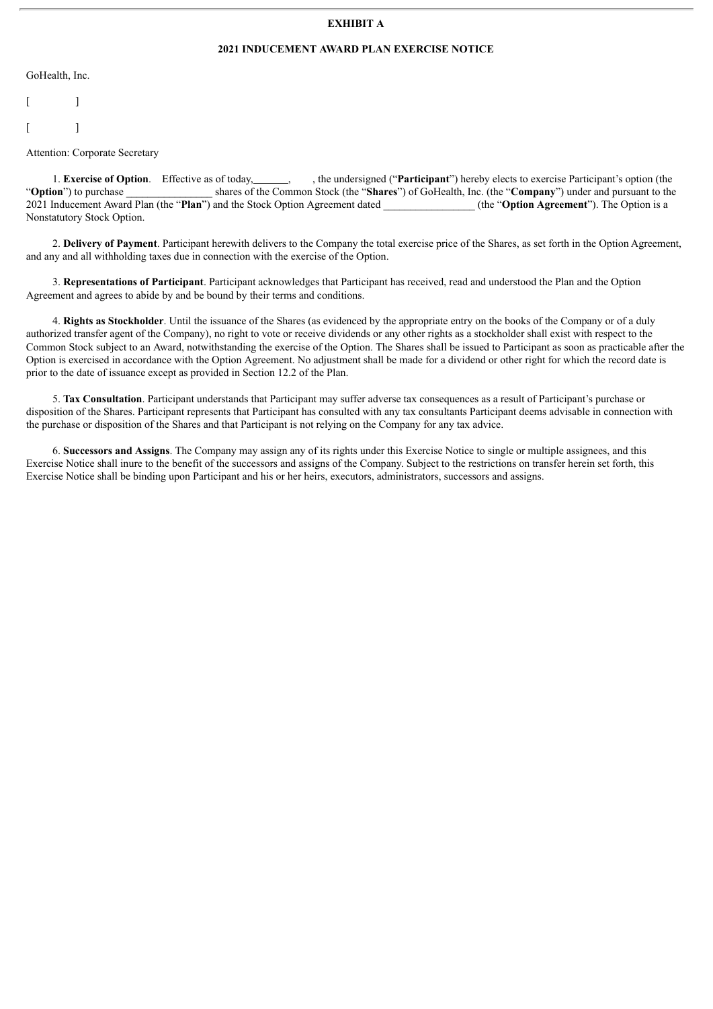#### **EXHIBIT A**

#### **2021 INDUCEMENT AWARD PLAN EXERCISE NOTICE**

GoHealth, Inc.

 $\lceil$   $\lceil$   $\lceil$  $\lceil$   $\lceil$   $\lceil$ 

Attention: Corporate Secretary

1. **Exercise of Option**. Effective as of today, , , the undersigned ("**Participant**") hereby elects to exercise Participant's option (the "**Option**") to purchase shares of the Common Stock (the "**Shares**") of GoHealth, Inc shares of the Common Stock (the "**Shares**") of GoHealth, Inc. (the "**Company**") under and pursuant to the 2021 Inducement Award Plan (the "**Plan**") and the Stock Option Agreement dated \_\_\_\_\_\_\_\_\_\_\_\_\_\_\_\_\_ (the "**Option Agreement**"). The Option is a Nonstatutory Stock Option.

2. **Delivery of Payment**. Participant herewith delivers to the Company the total exercise price of the Shares, as set forth in the Option Agreement, and any and all withholding taxes due in connection with the exercise of the Option.

3. **Representations of Participant**. Participant acknowledges that Participant has received, read and understood the Plan and the Option Agreement and agrees to abide by and be bound by their terms and conditions.

4. **Rights as Stockholder**. Until the issuance of the Shares (as evidenced by the appropriate entry on the books of the Company or of a duly authorized transfer agent of the Company), no right to vote or receive dividends or any other rights as a stockholder shall exist with respect to the Common Stock subject to an Award, notwithstanding the exercise of the Option. The Shares shall be issued to Participant as soon as practicable after the Option is exercised in accordance with the Option Agreement. No adjustment shall be made for a dividend or other right for which the record date is prior to the date of issuance except as provided in Section 12.2 of the Plan.

5. **Tax Consultation**. Participant understands that Participant may suffer adverse tax consequences as a result of Participant's purchase or disposition of the Shares. Participant represents that Participant has consulted with any tax consultants Participant deems advisable in connection with the purchase or disposition of the Shares and that Participant is not relying on the Company for any tax advice.

6. **Successors and Assigns**. The Company may assign any of its rights under this Exercise Notice to single or multiple assignees, and this Exercise Notice shall inure to the benefit of the successors and assigns of the Company. Subject to the restrictions on transfer herein set forth, this Exercise Notice shall be binding upon Participant and his or her heirs, executors, administrators, successors and assigns.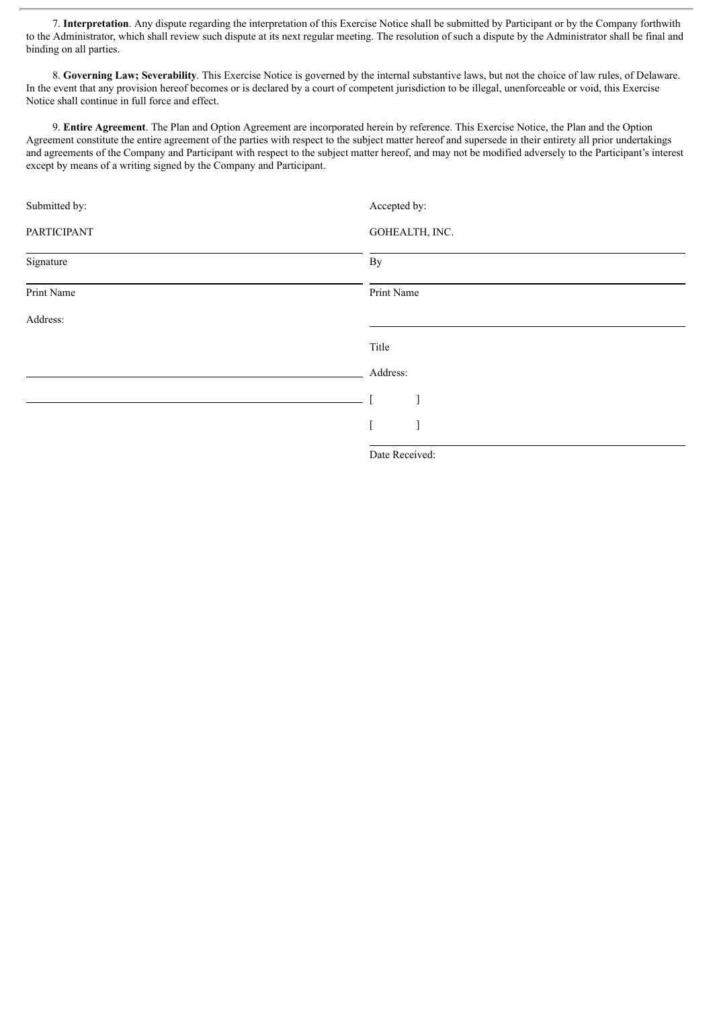7. **Interpretation**. Any dispute regarding the interpretation of this Exercise Notice shall be submitted by Participant or by the Company forthwith to the Administrator, which shall review such dispute at its next regular meeting. The resolution of such a dispute by the Administrator shall be final and binding on all parties.

8. **Governing Law; Severability**. This Exercise Notice is governed by the internal substantive laws, but not the choice of law rules, of Delaware. In the event that any provision hereof becomes or is declared by a court of competent jurisdiction to be illegal, unenforceable or void, this Exercise Notice shall continue in full force and effect.

9. **Entire Agreement**. The Plan and Option Agreement are incorporated herein by reference. This Exercise Notice, the Plan and the Option Agreement constitute the entire agreement of the parties with respect to the subject matter hereof and supersede in their entirety all prior undertakings and agreements of the Company and Participant with respect to the subject matter hereof, and may not be modified adversely to the Participant's interest except by means of a writing signed by the Company and Participant.

| Submitted by: | Accepted by:   |
|---------------|----------------|
| PARTICIPANT   | GOHEALTH, INC. |
| Signature     | By             |
| Print Name    | Print Name     |
| Address:      |                |
|               | Title          |
|               | Address:       |
|               |                |
|               |                |
|               |                |

Date Received: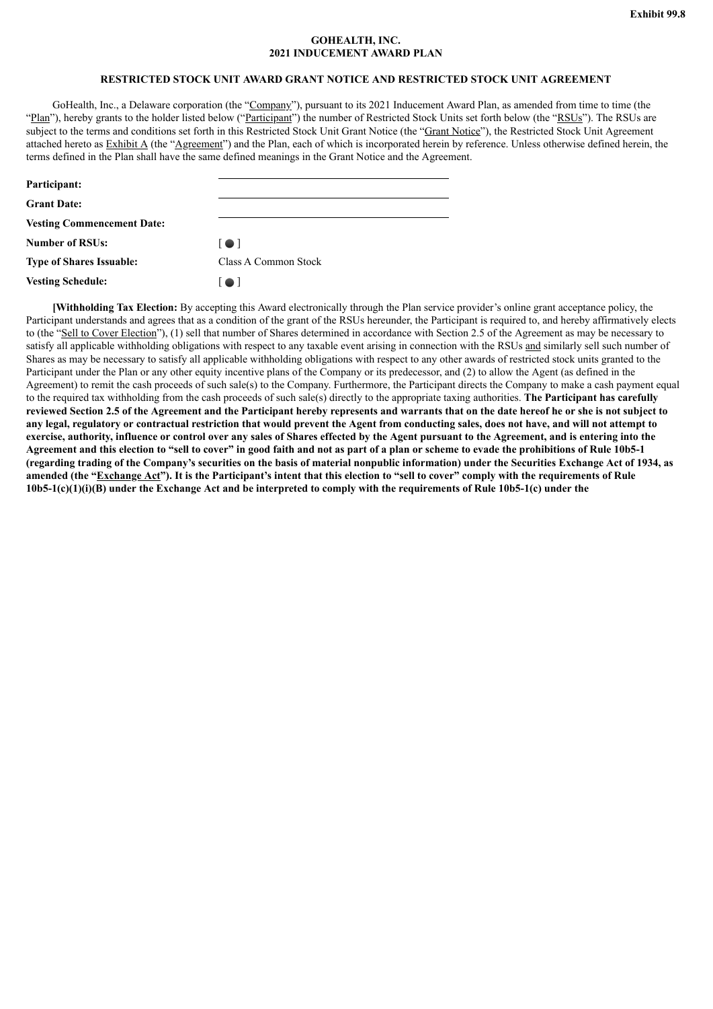#### **GOHEALTH, INC. 2021 INDUCEMENT AWARD PLAN**

### **RESTRICTED STOCK UNIT AWARD GRANT NOTICE AND RESTRICTED STOCK UNIT AGREEMENT**

<span id="page-24-0"></span>GoHealth, Inc., a Delaware corporation (the "Company"), pursuant to its 2021 Inducement Award Plan, as amended from time to time (the "Plan"), hereby grants to the holder listed below ("Participant") the number of Restricted Stock Units set forth below (the "RSUs"). The RSUs are subject to the terms and conditions set forth in this Restricted Stock Unit Grant Notice (the "Grant Notice"), the Restricted Stock Unit Agreement attached hereto as Exhibit A (the "Agreement") and the Plan, each of which is incorporated herein by reference. Unless otherwise defined herein, the terms defined in the Plan shall have the same defined meanings in the Grant Notice and the Agreement.

| Participant:                      |                         |
|-----------------------------------|-------------------------|
| <b>Grant Date:</b>                |                         |
| <b>Vesting Commencement Date:</b> |                         |
| <b>Number of RSUs:</b>            | $\lceil \bullet \rceil$ |
| <b>Type of Shares Issuable:</b>   | Class A Common Stock    |
| <b>Vesting Schedule:</b>          | I O I                   |

**[Withholding Tax Election:** By accepting this Award electronically through the Plan service provider's online grant acceptance policy, the Participant understands and agrees that as a condition of the grant of the RSUs hereunder, the Participant is required to, and hereby affirmatively elects to (the "Sell to Cover Election"), (1) sell that number of Shares determined in accordance with Section 2.5 of the Agreement as may be necessary to satisfy all applicable withholding obligations with respect to any taxable event arising in connection with the RSUs and similarly sell such number of Shares as may be necessary to satisfy all applicable withholding obligations with respect to any other awards of restricted stock units granted to the Participant under the Plan or any other equity incentive plans of the Company or its predecessor, and (2) to allow the Agent (as defined in the Agreement) to remit the cash proceeds of such sale(s) to the Company. Furthermore, the Participant directs the Company to make a cash payment equal to the required tax withholding from the cash proceeds of such sale(s) directly to the appropriate taxing authorities. **The Participant has carefully** reviewed Section 2.5 of the Agreement and the Participant hereby represents and warrants that on the date hereof he or she is not subject to any legal, regulatory or contractual restriction that would prevent the Agent from conducting sales, does not have, and will not attempt to exercise, authority, influence or control over any sales of Shares effected by the Agent pursuant to the Agreement, and is entering into the Agreement and this election to "sell to cover" in good faith and not as part of a plan or scheme to evade the prohibitions of Rule 10b5-1 (regarding trading of the Company's securities on the basis of material nonpublic information) under the Securities Exchange Act of 1934, as amended (the "Exchange Act"). It is the Participant's intent that this election to "sell to cover" comply with the requirements of Rule  $10b5-1(c)(1)(i)(B)$  under the Exchange Act and be interpreted to comply with the requirements of Rule 10b5-1(c) under the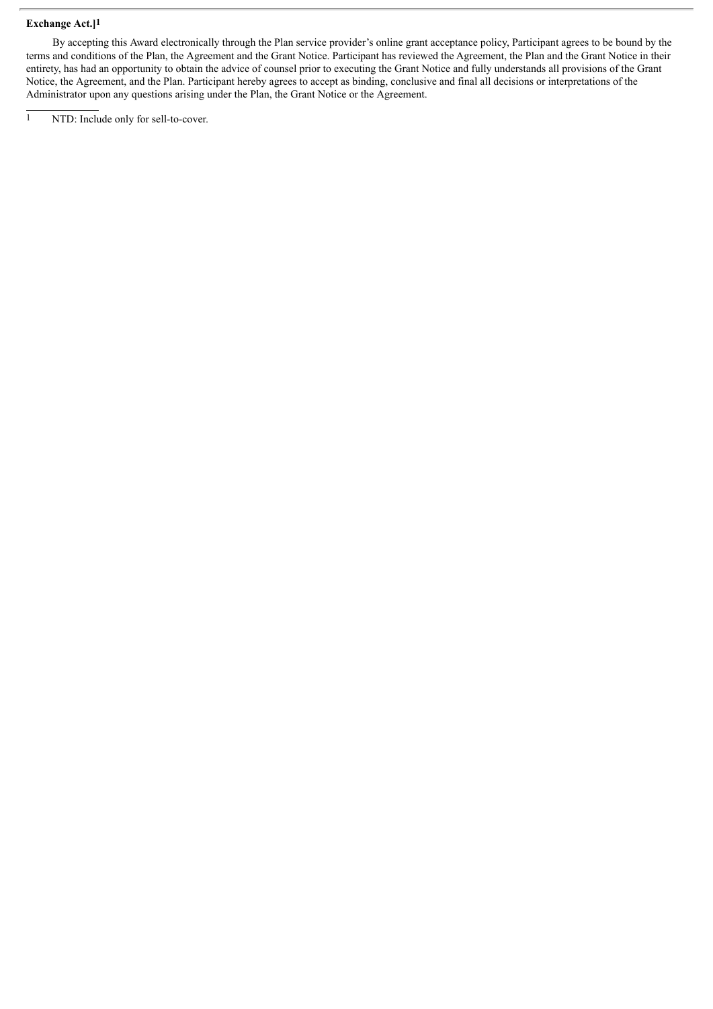#### **Exchange Act.]1**

By accepting this Award electronically through the Plan service provider's online grant acceptance policy, Participant agrees to be bound by the terms and conditions of the Plan, the Agreement and the Grant Notice. Participant has reviewed the Agreement, the Plan and the Grant Notice in their entirety, has had an opportunity to obtain the advice of counsel prior to executing the Grant Notice and fully understands all provisions of the Grant Notice, the Agreement, and the Plan. Participant hereby agrees to accept as binding, conclusive and final all decisions or interpretations of the Administrator upon any questions arising under the Plan, the Grant Notice or the Agreement.

<sup>1</sup> NTD: Include only for sell-to-cover.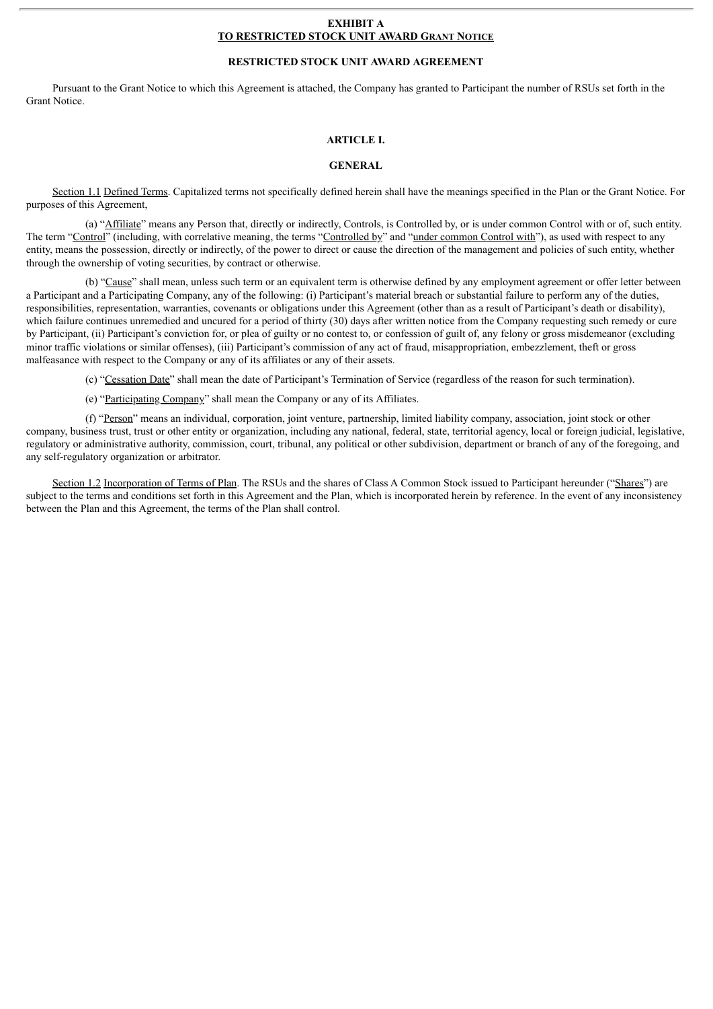#### **EXHIBIT A TO RESTRICTED STOCK UNIT AWARD GRANT NOTICE**

#### **RESTRICTED STOCK UNIT AWARD AGREEMENT**

Pursuant to the Grant Notice to which this Agreement is attached, the Company has granted to Participant the number of RSUs set forth in the Grant Notice.

#### **ARTICLE I.**

#### **GENERAL**

Section 1.1 Defined Terms. Capitalized terms not specifically defined herein shall have the meanings specified in the Plan or the Grant Notice. For purposes of this Agreement,

(a) "Affiliate" means any Person that, directly or indirectly, Controls, is Controlled by, or is under common Control with or of, such entity. The term "Control" (including, with correlative meaning, the terms "Controlled by" and "under common Control with"), as used with respect to any entity, means the possession, directly or indirectly, of the power to direct or cause the direction of the management and policies of such entity, whether through the ownership of voting securities, by contract or otherwise.

(b) "Cause" shall mean, unless such term or an equivalent term is otherwise defined by any employment agreement or offer letter between a Participant and a Participating Company, any of the following: (i) Participant's material breach or substantial failure to perform any of the duties, responsibilities, representation, warranties, covenants or obligations under this Agreement (other than as a result of Participant's death or disability), which failure continues unremedied and uncured for a period of thirty (30) days after written notice from the Company requesting such remedy or cure by Participant, (ii) Participant's conviction for, or plea of guilty or no contest to, or confession of guilt of, any felony or gross misdemeanor (excluding minor traffic violations or similar offenses), (iii) Participant's commission of any act of fraud, misappropriation, embezzlement, theft or gross malfeasance with respect to the Company or any of its affiliates or any of their assets.

(c) "Cessation Date" shall mean the date of Participant's Termination of Service (regardless of the reason for such termination).

(e) "Participating Company" shall mean the Company or any of its Affiliates.

(f) "Person" means an individual, corporation, joint venture, partnership, limited liability company, association, joint stock or other company, business trust, trust or other entity or organization, including any national, federal, state, territorial agency, local or foreign judicial, legislative, regulatory or administrative authority, commission, court, tribunal, any political or other subdivision, department or branch of any of the foregoing, and any self-regulatory organization or arbitrator.

Section 1.2 Incorporation of Terms of Plan. The RSUs and the shares of Class A Common Stock issued to Participant hereunder ("Shares") are subject to the terms and conditions set forth in this Agreement and the Plan, which is incorporated herein by reference. In the event of any inconsistency between the Plan and this Agreement, the terms of the Plan shall control.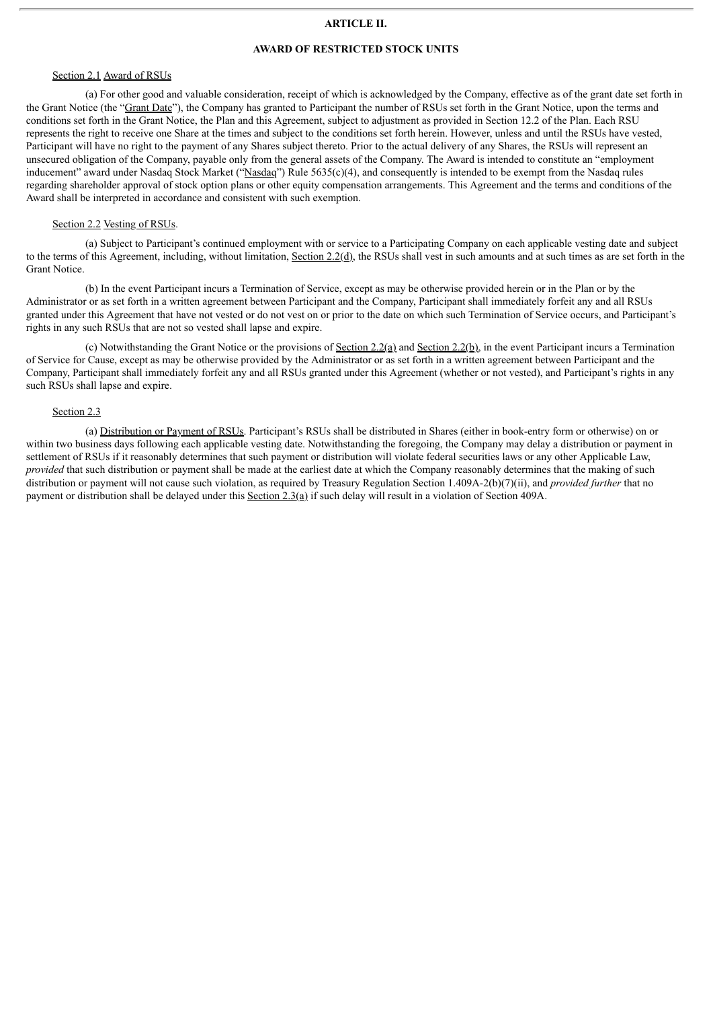#### **ARTICLE II.**

#### **AWARD OF RESTRICTED STOCK UNITS**

#### Section 2.1 Award of RSUs

(a) For other good and valuable consideration, receipt of which is acknowledged by the Company, effective as of the grant date set forth in the Grant Notice (the "Grant Date"), the Company has granted to Participant the number of RSUs set forth in the Grant Notice, upon the terms and conditions set forth in the Grant Notice, the Plan and this Agreement, subject to adjustment as provided in Section 12.2 of the Plan. Each RSU represents the right to receive one Share at the times and subject to the conditions set forth herein. However, unless and until the RSUs have vested, Participant will have no right to the payment of any Shares subject thereto. Prior to the actual delivery of any Shares, the RSUs will represent an unsecured obligation of the Company, payable only from the general assets of the Company. The Award is intended to constitute an "employment inducement" award under Nasdaq Stock Market ("Nasdaq") Rule 5635(c)(4), and consequently is intended to be exempt from the Nasdaq rules regarding shareholder approval of stock option plans or other equity compensation arrangements. This Agreement and the terms and conditions of the Award shall be interpreted in accordance and consistent with such exemption.

#### Section 2.2 Vesting of RSUs.

(a) Subject to Participant's continued employment with or service to a Participating Company on each applicable vesting date and subject to the terms of this Agreement, including, without limitation, Section 2.2(d), the RSUs shall vest in such amounts and at such times as are set forth in the Grant Notice.

(b) In the event Participant incurs a Termination of Service, except as may be otherwise provided herein or in the Plan or by the Administrator or as set forth in a written agreement between Participant and the Company, Participant shall immediately forfeit any and all RSUs granted under this Agreement that have not vested or do not vest on or prior to the date on which such Termination of Service occurs, and Participant's rights in any such RSUs that are not so vested shall lapse and expire.

(c) Notwithstanding the Grant Notice or the provisions of <u>Section 2.2(a)</u> and <u>Section 2.2(b)</u>, in the event Participant incurs a Termination of Service for Cause, except as may be otherwise provided by the Administrator or as set forth in a written agreement between Participant and the Company, Participant shall immediately forfeit any and all RSUs granted under this Agreement (whether or not vested), and Participant's rights in any such RSUs shall lapse and expire.

#### Section 2.3

(a) Distribution or Payment of RSUs. Participant's RSUs shall be distributed in Shares (either in book-entry form or otherwise) on or within two business days following each applicable vesting date. Notwithstanding the foregoing, the Company may delay a distribution or payment in settlement of RSUs if it reasonably determines that such payment or distribution will violate federal securities laws or any other Applicable Law, *provided* that such distribution or payment shall be made at the earliest date at which the Company reasonably determines that the making of such distribution or payment will not cause such violation, as required by Treasury Regulation Section 1.409A-2(b)(7)(ii), and *provided further* that no payment or distribution shall be delayed under this Section 2.3(a) if such delay will result in a violation of Section 409A.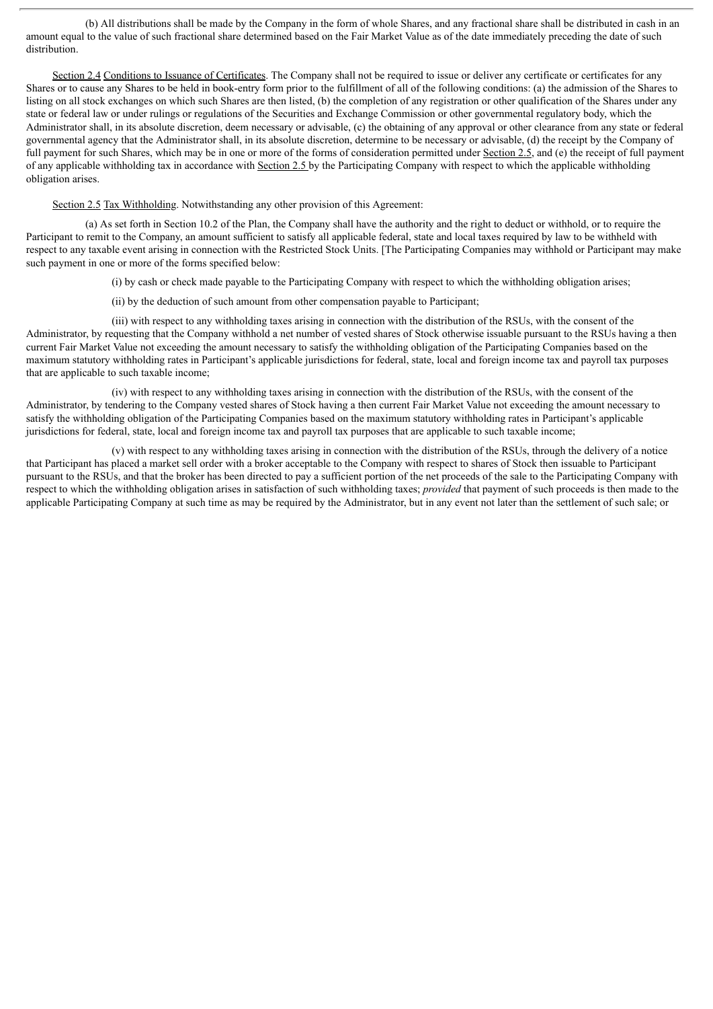(b) All distributions shall be made by the Company in the form of whole Shares, and any fractional share shall be distributed in cash in an amount equal to the value of such fractional share determined based on the Fair Market Value as of the date immediately preceding the date of such distribution.

Section 2.4 Conditions to Issuance of Certificates. The Company shall not be required to issue or deliver any certificate or certificates for any Shares or to cause any Shares to be held in book-entry form prior to the fulfillment of all of the following conditions: (a) the admission of the Shares to listing on all stock exchanges on which such Shares are then listed, (b) the completion of any registration or other qualification of the Shares under any state or federal law or under rulings or regulations of the Securities and Exchange Commission or other governmental regulatory body, which the Administrator shall, in its absolute discretion, deem necessary or advisable, (c) the obtaining of any approval or other clearance from any state or federal governmental agency that the Administrator shall, in its absolute discretion, determine to be necessary or advisable, (d) the receipt by the Company of full payment for such Shares, which may be in one or more of the forms of consideration permitted under Section 2.5, and (e) the receipt of full payment of any applicable withholding tax in accordance with Section 2.5 by the Participating Company with respect to which the applicable withholding obligation arises.

Section 2.5 Tax Withholding. Notwithstanding any other provision of this Agreement:

(a) As set forth in Section 10.2 of the Plan, the Company shall have the authority and the right to deduct or withhold, or to require the Participant to remit to the Company, an amount sufficient to satisfy all applicable federal, state and local taxes required by law to be withheld with respect to any taxable event arising in connection with the Restricted Stock Units. [The Participating Companies may withhold or Participant may make such payment in one or more of the forms specified below:

(i) by cash or check made payable to the Participating Company with respect to which the withholding obligation arises;

(ii) by the deduction of such amount from other compensation payable to Participant;

(iii) with respect to any withholding taxes arising in connection with the distribution of the RSUs, with the consent of the Administrator, by requesting that the Company withhold a net number of vested shares of Stock otherwise issuable pursuant to the RSUs having a then current Fair Market Value not exceeding the amount necessary to satisfy the withholding obligation of the Participating Companies based on the maximum statutory withholding rates in Participant's applicable jurisdictions for federal, state, local and foreign income tax and payroll tax purposes that are applicable to such taxable income;

(iv) with respect to any withholding taxes arising in connection with the distribution of the RSUs, with the consent of the Administrator, by tendering to the Company vested shares of Stock having a then current Fair Market Value not exceeding the amount necessary to satisfy the withholding obligation of the Participating Companies based on the maximum statutory withholding rates in Participant's applicable jurisdictions for federal, state, local and foreign income tax and payroll tax purposes that are applicable to such taxable income;

(v) with respect to any withholding taxes arising in connection with the distribution of the RSUs, through the delivery of a notice that Participant has placed a market sell order with a broker acceptable to the Company with respect to shares of Stock then issuable to Participant pursuant to the RSUs, and that the broker has been directed to pay a sufficient portion of the net proceeds of the sale to the Participating Company with respect to which the withholding obligation arises in satisfaction of such withholding taxes; *provided* that payment of such proceeds is then made to the applicable Participating Company at such time as may be required by the Administrator, but in any event not later than the settlement of such sale; or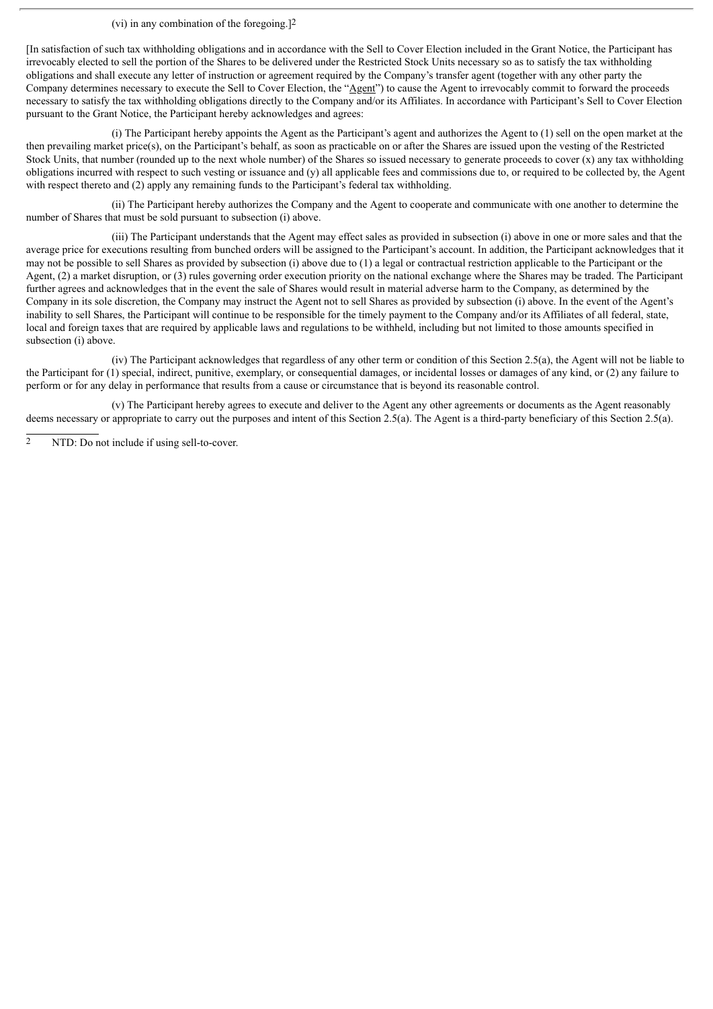(vi) in any combination of the foregoing.]2

[In satisfaction of such tax withholding obligations and in accordance with the Sell to Cover Election included in the Grant Notice, the Participant has irrevocably elected to sell the portion of the Shares to be delivered under the Restricted Stock Units necessary so as to satisfy the tax withholding obligations and shall execute any letter of instruction or agreement required by the Company's transfer agent (together with any other party the Company determines necessary to execute the Sell to Cover Election, the "Agent" to cause the Agent to irrevocably commit to forward the proceeds necessary to satisfy the tax withholding obligations directly to the Company and/or its Affiliates. In accordance with Participant's Sell to Cover Election pursuant to the Grant Notice, the Participant hereby acknowledges and agrees:

(i) The Participant hereby appoints the Agent as the Participant's agent and authorizes the Agent to (1) sell on the open market at the then prevailing market price(s), on the Participant's behalf, as soon as practicable on or after the Shares are issued upon the vesting of the Restricted Stock Units, that number (rounded up to the next whole number) of the Shares so issued necessary to generate proceeds to cover (x) any tax withholding obligations incurred with respect to such vesting or issuance and (y) all applicable fees and commissions due to, or required to be collected by, the Agent with respect thereto and (2) apply any remaining funds to the Participant's federal tax withholding.

(ii) The Participant hereby authorizes the Company and the Agent to cooperate and communicate with one another to determine the number of Shares that must be sold pursuant to subsection (i) above.

(iii) The Participant understands that the Agent may effect sales as provided in subsection (i) above in one or more sales and that the average price for executions resulting from bunched orders will be assigned to the Participant's account. In addition, the Participant acknowledges that it may not be possible to sell Shares as provided by subsection (i) above due to (1) a legal or contractual restriction applicable to the Participant or the Agent, (2) a market disruption, or (3) rules governing order execution priority on the national exchange where the Shares may be traded. The Participant further agrees and acknowledges that in the event the sale of Shares would result in material adverse harm to the Company, as determined by the Company in its sole discretion, the Company may instruct the Agent not to sell Shares as provided by subsection (i) above. In the event of the Agent's inability to sell Shares, the Participant will continue to be responsible for the timely payment to the Company and/or its Affiliates of all federal, state, local and foreign taxes that are required by applicable laws and regulations to be withheld, including but not limited to those amounts specified in subsection (i) above.

(iv) The Participant acknowledges that regardless of any other term or condition of this Section 2.5(a), the Agent will not be liable to the Participant for (1) special, indirect, punitive, exemplary, or consequential damages, or incidental losses or damages of any kind, or (2) any failure to perform or for any delay in performance that results from a cause or circumstance that is beyond its reasonable control.

(v) The Participant hereby agrees to execute and deliver to the Agent any other agreements or documents as the Agent reasonably deems necessary or appropriate to carry out the purposes and intent of this Section 2.5(a). The Agent is a third-party beneficiary of this Section 2.5(a).

NTD: Do not include if using sell-to-cover.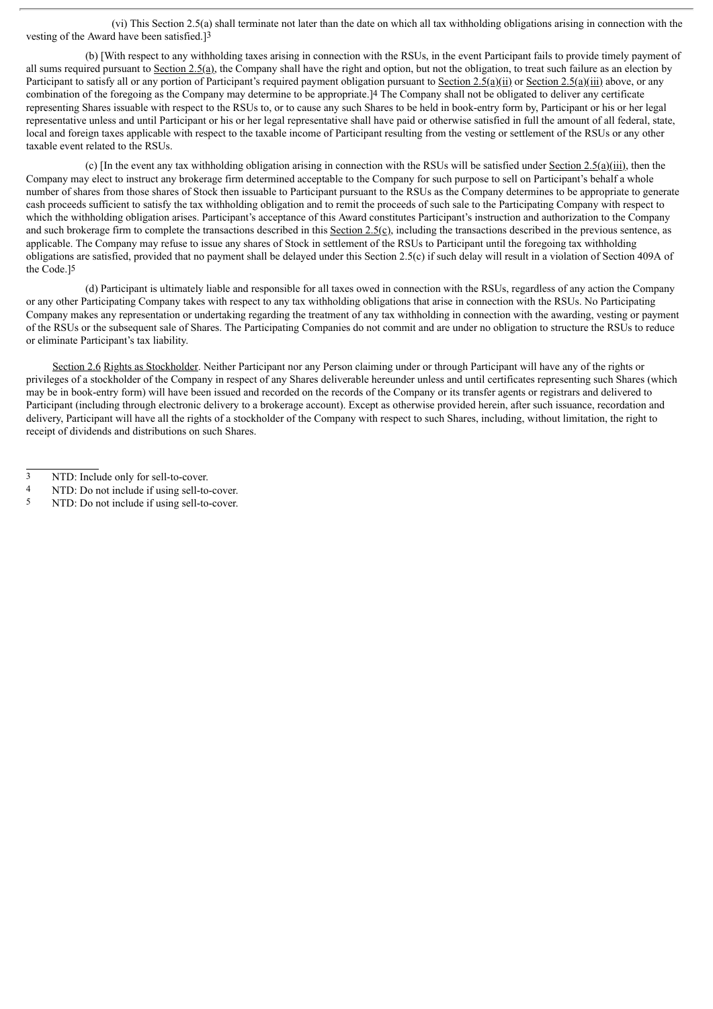(vi) This Section 2.5(a) shall terminate not later than the date on which all tax withholding obligations arising in connection with the vesting of the Award have been satisfied.]3

(b) [With respect to any withholding taxes arising in connection with the RSUs, in the event Participant fails to provide timely payment of all sums required pursuant to Section 2.5(a), the Company shall have the right and option, but not the obligation, to treat such failure as an election by Participant to satisfy all or any portion of Participant's required payment obligation pursuant to Section 2.5(a)(ii) or Section 2.5(a)(iii) above, or any combination of the foregoing as the Company may determine to be appropriate.]4 The Company shall not be obligated to deliver any certificate representing Shares issuable with respect to the RSUs to, or to cause any such Shares to be held in book-entry form by, Participant or his or her legal representative unless and until Participant or his or her legal representative shall have paid or otherwise satisfied in full the amount of all federal, state, local and foreign taxes applicable with respect to the taxable income of Participant resulting from the vesting or settlement of the RSUs or any other taxable event related to the RSUs.

(c) [In the event any tax withholding obligation arising in connection with the RSUs will be satisfied under Section 2.5(a)(iii), then the Company may elect to instruct any brokerage firm determined acceptable to the Company for such purpose to sell on Participant's behalf a whole number of shares from those shares of Stock then issuable to Participant pursuant to the RSUs as the Company determines to be appropriate to generate cash proceeds sufficient to satisfy the tax withholding obligation and to remit the proceeds of such sale to the Participating Company with respect to which the withholding obligation arises. Participant's acceptance of this Award constitutes Participant's instruction and authorization to the Company and such brokerage firm to complete the transactions described in this Section  $2.5(c)$ , including the transactions described in the previous sentence, as applicable. The Company may refuse to issue any shares of Stock in settlement of the RSUs to Participant until the foregoing tax withholding obligations are satisfied, provided that no payment shall be delayed under this Section 2.5(c) if such delay will result in a violation of Section 409A of the Code.]5

(d) Participant is ultimately liable and responsible for all taxes owed in connection with the RSUs, regardless of any action the Company or any other Participating Company takes with respect to any tax withholding obligations that arise in connection with the RSUs. No Participating Company makes any representation or undertaking regarding the treatment of any tax withholding in connection with the awarding, vesting or payment of the RSUs or the subsequent sale of Shares. The Participating Companies do not commit and are under no obligation to structure the RSUs to reduce or eliminate Participant's tax liability.

Section 2.6 Rights as Stockholder. Neither Participant nor any Person claiming under or through Participant will have any of the rights or privileges of a stockholder of the Company in respect of any Shares deliverable hereunder unless and until certificates representing such Shares (which may be in book-entry form) will have been issued and recorded on the records of the Company or its transfer agents or registrars and delivered to Participant (including through electronic delivery to a brokerage account). Except as otherwise provided herein, after such issuance, recordation and delivery, Participant will have all the rights of a stockholder of the Company with respect to such Shares, including, without limitation, the right to receipt of dividends and distributions on such Shares.

<sup>3</sup> NTD: Include only for sell-to-cover.

<sup>4</sup> NTD: Do not include if using sell-to-cover.

<sup>5</sup> NTD: Do not include if using sell-to-cover.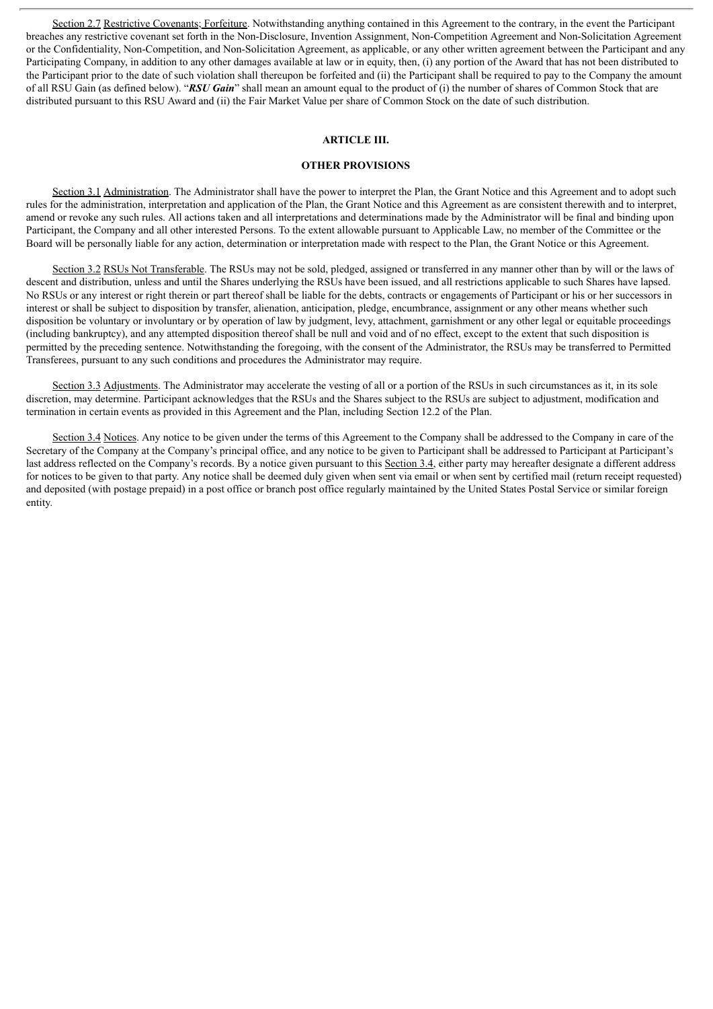Section 2.7 Restrictive Covenants; Forfeiture. Notwithstanding anything contained in this Agreement to the contrary, in the event the Participant breaches any restrictive covenant set forth in the Non-Disclosure, Invention Assignment, Non-Competition Agreement and Non-Solicitation Agreement or the Confidentiality, Non-Competition, and Non-Solicitation Agreement, as applicable, or any other written agreement between the Participant and any Participating Company, in addition to any other damages available at law or in equity, then, (i) any portion of the Award that has not been distributed to the Participant prior to the date of such violation shall thereupon be forfeited and (ii) the Participant shall be required to pay to the Company the amount of all RSU Gain (as defined below). "*RSU Gain*" shall mean an amount equal to the product of (i) the number of shares of Common Stock that are distributed pursuant to this RSU Award and (ii) the Fair Market Value per share of Common Stock on the date of such distribution.

#### **ARTICLE III.**

#### **OTHER PROVISIONS**

Section 3.1 Administration. The Administrator shall have the power to interpret the Plan, the Grant Notice and this Agreement and to adopt such rules for the administration, interpretation and application of the Plan, the Grant Notice and this Agreement as are consistent therewith and to interpret, amend or revoke any such rules. All actions taken and all interpretations and determinations made by the Administrator will be final and binding upon Participant, the Company and all other interested Persons. To the extent allowable pursuant to Applicable Law, no member of the Committee or the Board will be personally liable for any action, determination or interpretation made with respect to the Plan, the Grant Notice or this Agreement.

Section 3.2 RSUs Not Transferable. The RSUs may not be sold, pledged, assigned or transferred in any manner other than by will or the laws of descent and distribution, unless and until the Shares underlying the RSUs have been issued, and all restrictions applicable to such Shares have lapsed. No RSUs or any interest or right therein or part thereof shall be liable for the debts, contracts or engagements of Participant or his or her successors in interest or shall be subject to disposition by transfer, alienation, anticipation, pledge, encumbrance, assignment or any other means whether such disposition be voluntary or involuntary or by operation of law by judgment, levy, attachment, garnishment or any other legal or equitable proceedings (including bankruptcy), and any attempted disposition thereof shall be null and void and of no effect, except to the extent that such disposition is permitted by the preceding sentence. Notwithstanding the foregoing, with the consent of the Administrator, the RSUs may be transferred to Permitted Transferees, pursuant to any such conditions and procedures the Administrator may require.

Section 3.3 Adjustments. The Administrator may accelerate the vesting of all or a portion of the RSUs in such circumstances as it, in its sole discretion, may determine. Participant acknowledges that the RSUs and the Shares subject to the RSUs are subject to adjustment, modification and termination in certain events as provided in this Agreement and the Plan, including Section 12.2 of the Plan.

Section 3.4 Notices. Any notice to be given under the terms of this Agreement to the Company shall be addressed to the Company in care of the Secretary of the Company at the Company's principal office, and any notice to be given to Participant shall be addressed to Participant at Participant's last address reflected on the Company's records. By a notice given pursuant to this Section 3.4, either party may hereafter designate a different address for notices to be given to that party. Any notice shall be deemed duly given when sent via email or when sent by certified mail (return receipt requested) and deposited (with postage prepaid) in a post office or branch post office regularly maintained by the United States Postal Service or similar foreign entity.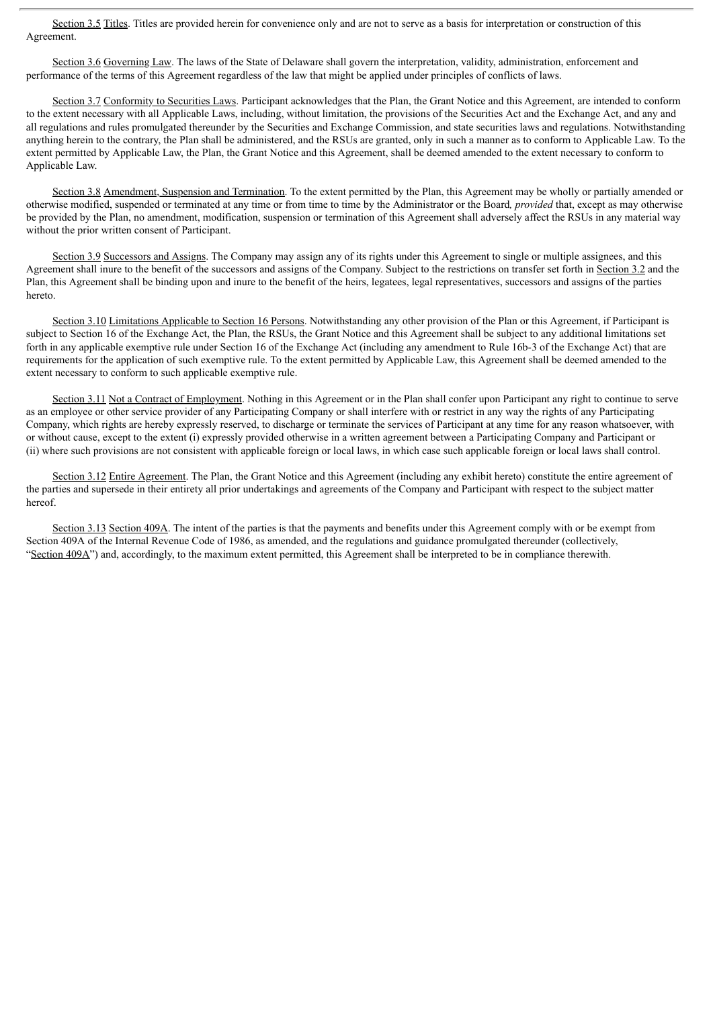Section 3.5 Titles. Titles are provided herein for convenience only and are not to serve as a basis for interpretation or construction of this Agreement.

Section 3.6 Governing Law. The laws of the State of Delaware shall govern the interpretation, validity, administration, enforcement and performance of the terms of this Agreement regardless of the law that might be applied under principles of conflicts of laws.

Section 3.7 Conformity to Securities Laws. Participant acknowledges that the Plan, the Grant Notice and this Agreement, are intended to conform to the extent necessary with all Applicable Laws, including, without limitation, the provisions of the Securities Act and the Exchange Act, and any and all regulations and rules promulgated thereunder by the Securities and Exchange Commission, and state securities laws and regulations. Notwithstanding anything herein to the contrary, the Plan shall be administered, and the RSUs are granted, only in such a manner as to conform to Applicable Law. To the extent permitted by Applicable Law, the Plan, the Grant Notice and this Agreement, shall be deemed amended to the extent necessary to conform to Applicable Law.

Section 3.8 Amendment, Suspension and Termination. To the extent permitted by the Plan, this Agreement may be wholly or partially amended or otherwise modified, suspended or terminated at any time or from time to time by the Administrator or the Board*, provided* that, except as may otherwise be provided by the Plan, no amendment, modification, suspension or termination of this Agreement shall adversely affect the RSUs in any material way without the prior written consent of Participant.

Section 3.9 Successors and Assigns. The Company may assign any of its rights under this Agreement to single or multiple assignees, and this Agreement shall inure to the benefit of the successors and assigns of the Company. Subject to the restrictions on transfer set forth in Section 3.2 and the Plan, this Agreement shall be binding upon and inure to the benefit of the heirs, legatees, legal representatives, successors and assigns of the parties hereto.

Section 3.10 Limitations Applicable to Section 16 Persons. Notwithstanding any other provision of the Plan or this Agreement, if Participant is subject to Section 16 of the Exchange Act, the Plan, the RSUs, the Grant Notice and this Agreement shall be subject to any additional limitations set forth in any applicable exemptive rule under Section 16 of the Exchange Act (including any amendment to Rule 16b-3 of the Exchange Act) that are requirements for the application of such exemptive rule. To the extent permitted by Applicable Law, this Agreement shall be deemed amended to the extent necessary to conform to such applicable exemptive rule.

Section 3.11 Not a Contract of Employment. Nothing in this Agreement or in the Plan shall confer upon Participant any right to continue to serve as an employee or other service provider of any Participating Company or shall interfere with or restrict in any way the rights of any Participating Company, which rights are hereby expressly reserved, to discharge or terminate the services of Participant at any time for any reason whatsoever, with or without cause, except to the extent (i) expressly provided otherwise in a written agreement between a Participating Company and Participant or (ii) where such provisions are not consistent with applicable foreign or local laws, in which case such applicable foreign or local laws shall control.

Section 3.12 Entire Agreement. The Plan, the Grant Notice and this Agreement (including any exhibit hereto) constitute the entire agreement of the parties and supersede in their entirety all prior undertakings and agreements of the Company and Participant with respect to the subject matter hereof.

Section 3.13 Section 409A. The intent of the parties is that the payments and benefits under this Agreement comply with or be exempt from Section 409A of the Internal Revenue Code of 1986, as amended, and the regulations and guidance promulgated thereunder (collectively, "Section 409A") and, accordingly, to the maximum extent permitted, this Agreement shall be interpreted to be in compliance therewith.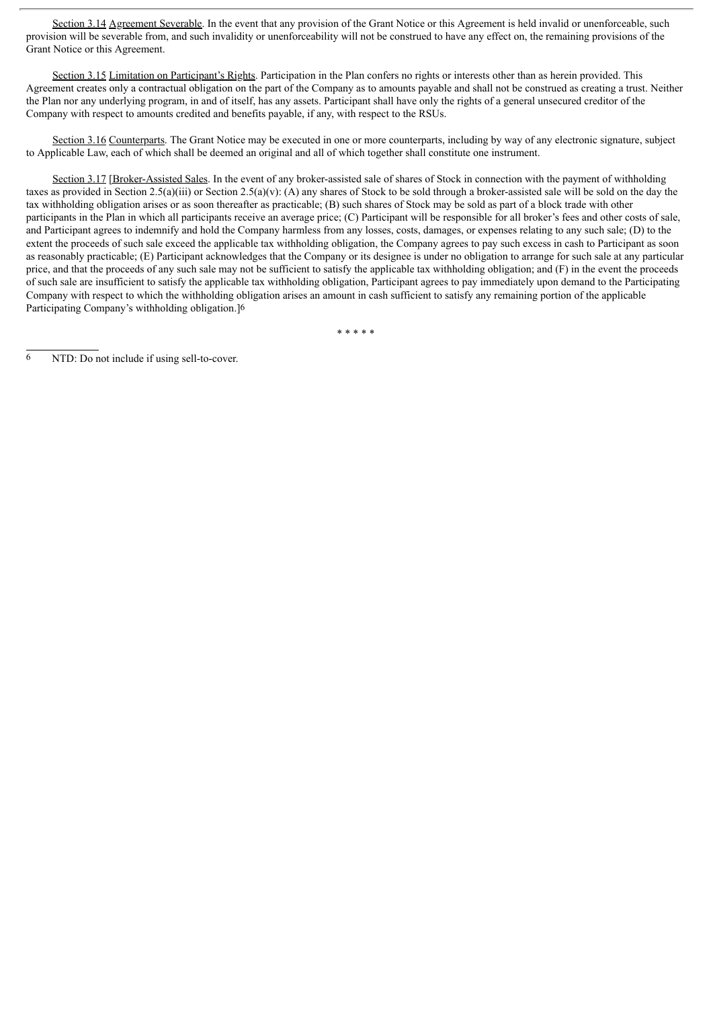Section 3.14 Agreement Severable. In the event that any provision of the Grant Notice or this Agreement is held invalid or unenforceable, such provision will be severable from, and such invalidity or unenforceability will not be construed to have any effect on, the remaining provisions of the Grant Notice or this Agreement.

Section 3.15 Limitation on Participant's Rights. Participation in the Plan confers no rights or interests other than as herein provided. This Agreement creates only a contractual obligation on the part of the Company as to amounts payable and shall not be construed as creating a trust. Neither the Plan nor any underlying program, in and of itself, has any assets. Participant shall have only the rights of a general unsecured creditor of the Company with respect to amounts credited and benefits payable, if any, with respect to the RSUs.

Section 3.16 Counterparts. The Grant Notice may be executed in one or more counterparts, including by way of any electronic signature, subject to Applicable Law, each of which shall be deemed an original and all of which together shall constitute one instrument.

Section 3.17 [Broker-Assisted Sales. In the event of any broker-assisted sale of shares of Stock in connection with the payment of withholding taxes as provided in Section 2.5(a)(iii) or Section 2.5(a)(v): (A) any shares of Stock to be sold through a broker-assisted sale will be sold on the day the tax withholding obligation arises or as soon thereafter as practicable; (B) such shares of Stock may be sold as part of a block trade with other participants in the Plan in which all participants receive an average price; (C) Participant will be responsible for all broker's fees and other costs of sale, and Participant agrees to indemnify and hold the Company harmless from any losses, costs, damages, or expenses relating to any such sale; (D) to the extent the proceeds of such sale exceed the applicable tax withholding obligation, the Company agrees to pay such excess in cash to Participant as soon as reasonably practicable; (E) Participant acknowledges that the Company or its designee is under no obligation to arrange for such sale at any particular price, and that the proceeds of any such sale may not be sufficient to satisfy the applicable tax withholding obligation; and (F) in the event the proceeds of such sale are insufficient to satisfy the applicable tax withholding obligation, Participant agrees to pay immediately upon demand to the Participating Company with respect to which the withholding obligation arises an amount in cash sufficient to satisfy any remaining portion of the applicable Participating Company's withholding obligation.]6

\* \* \* \* \*

6 NTD: Do not include if using sell-to-cover.